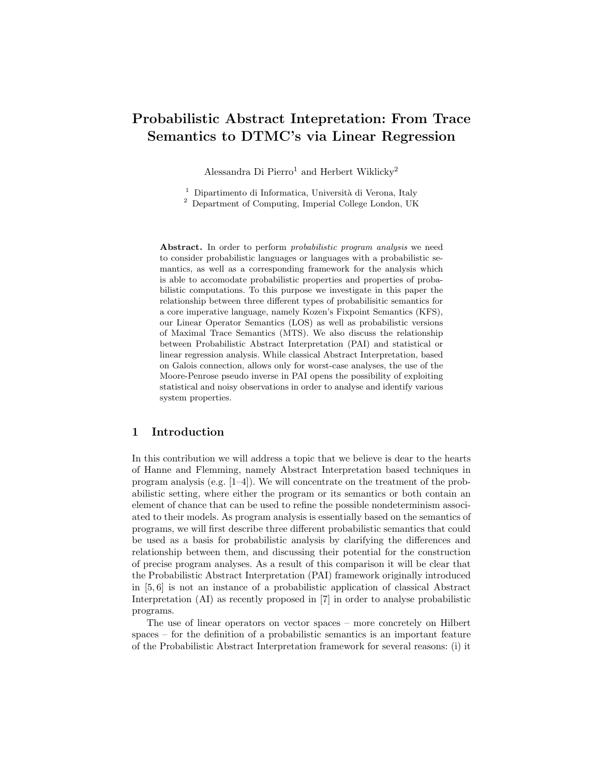# Probabilistic Abstract Intepretation: From Trace Semantics to DTMC's via Linear Regression

Alessandra Di Pierro<sup>1</sup> and Herbert Wiklicky<sup>2</sup>

 $^1$  Dipartimento di Informatica, Università di Verona, Italy

<sup>2</sup> Department of Computing, Imperial College London, UK

Abstract. In order to perform *probabilistic program analysis* we need to consider probabilistic languages or languages with a probabilistic semantics, as well as a corresponding framework for the analysis which is able to accomodate probabilistic properties and properties of probabilistic computations. To this purpose we investigate in this paper the relationship between three different types of probabilisitic semantics for a core imperative language, namely Kozen's Fixpoint Semantics (KFS), our Linear Operator Semantics (LOS) as well as probabilistic versions of Maximal Trace Semantics (MTS). We also discuss the relationship between Probabilistic Abstract Interpretation (PAI) and statistical or linear regression analysis. While classical Abstract Interpretation, based on Galois connection, allows only for worst-case analyses, the use of the Moore-Penrose pseudo inverse in PAI opens the possibility of exploiting statistical and noisy observations in order to analyse and identify various system properties.

### 1 Introduction

In this contribution we will address a topic that we believe is dear to the hearts of Hanne and Flemming, namely Abstract Interpretation based techniques in program analysis (e.g. [1–4]). We will concentrate on the treatment of the probabilistic setting, where either the program or its semantics or both contain an element of chance that can be used to refine the possible nondeterminism associated to their models. As program analysis is essentially based on the semantics of programs, we will first describe three different probabilistic semantics that could be used as a basis for probabilistic analysis by clarifying the differences and relationship between them, and discussing their potential for the construction of precise program analyses. As a result of this comparison it will be clear that the Probabilistic Abstract Interpretation (PAI) framework originally introduced in [5, 6] is not an instance of a probabilistic application of classical Abstract Interpretation (AI) as recently proposed in [7] in order to analyse probabilistic programs.

The use of linear operators on vector spaces – more concretely on Hilbert spaces – for the definition of a probabilistic semantics is an important feature of the Probabilistic Abstract Interpretation framework for several reasons: (i) it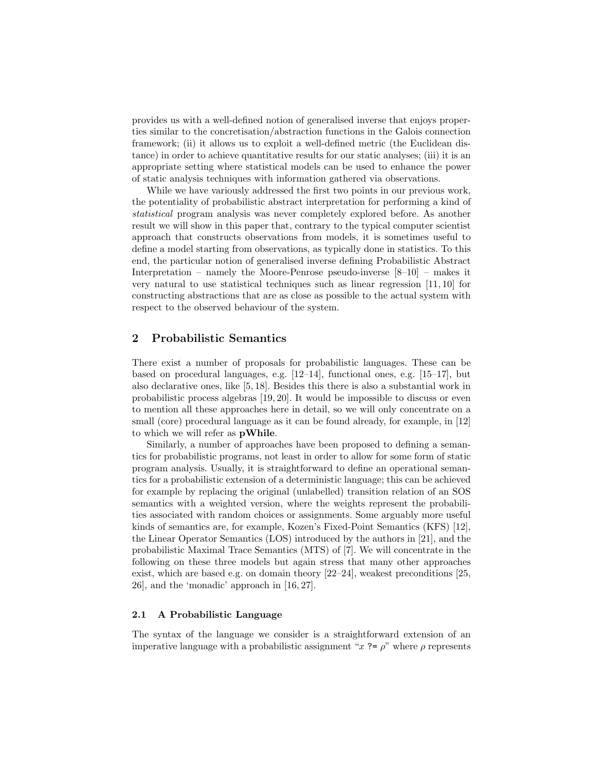provides us with a well-defined notion of generalised inverse that enjoys properties similar to the concretisation/abstraction functions in the Galois connection framework; (ii) it allows us to exploit a well-defined metric (the Euclidean distance) in order to achieve quantitative results for our static analyses; (iii) it is an appropriate setting where statistical models can be used to enhance the power of static analysis techniques with information gathered via observations.

While we have variously addressed the first two points in our previous work, the potentiality of probabilistic abstract interpretation for performing a kind of statistical program analysis was never completely explored before. As another result we will show in this paper that, contrary to the typical computer scientist approach that constructs observations from models, it is sometimes useful to define a model starting from observations, as typically done in statistics. To this end, the particular notion of generalised inverse defining Probabilistic Abstract Interpretation – namely the Moore-Penrose pseudo-inverse [8–10] – makes it very natural to use statistical techniques such as linear regression [11, 10] for constructing abstractions that are as close as possible to the actual system with respect to the observed behaviour of the system.

# 2 Probabilistic Semantics

There exist a number of proposals for probabilistic languages. These can be based on procedural languages, e.g. [12–14], functional ones, e.g. [15–17], but also declarative ones, like [5, 18]. Besides this there is also a substantial work in probabilistic process algebras [19, 20]. It would be impossible to discuss or even to mention all these approaches here in detail, so we will only concentrate on a small (core) procedural language as it can be found already, for example, in [12] to which we will refer as pWhile.

Similarly, a number of approaches have been proposed to defining a semantics for probabilistic programs, not least in order to allow for some form of static program analysis. Usually, it is straightforward to define an operational semantics for a probabilistic extension of a deterministic language; this can be achieved for example by replacing the original (unlabelled) transition relation of an SOS semantics with a weighted version, where the weights represent the probabilities associated with random choices or assignments. Some arguably more useful kinds of semantics are, for example, Kozen's Fixed-Point Semantics (KFS) [12], the Linear Operator Semantics (LOS) introduced by the authors in [21], and the probabilistic Maximal Trace Semantics (MTS) of [7]. We will concentrate in the following on these three models but again stress that many other approaches exist, which are based e.g. on domain theory  $[22-24]$ , weakest preconditions  $[25]$ , 26], and the 'monadic' approach in [16, 27].

#### 2.1 A Probabilistic Language

The syntax of the language we consider is a straightforward extension of an imperative language with a probabilistic assignment " $x$  ?=  $\rho$ " where  $\rho$  represents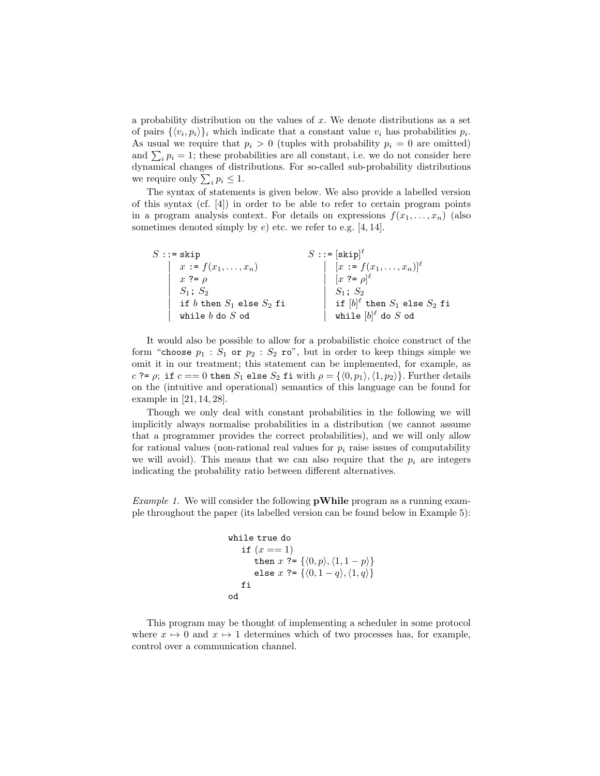a probability distribution on the values of  $x$ . We denote distributions as a set of pairs  $\{\langle v_i, p_i \rangle\}_i$  which indicate that a constant value  $v_i$  has probabilities  $p_i$ . As usual we require that  $p_i > 0$  (tuples with probability  $p_i = 0$  are omitted) and  $\sum_i p_i = 1$ ; these probabilities are all constant, i.e. we do not consider here dynamical changes of distributions. For so-called sub-probability distributions we require only  $\sum_i p_i \leq 1$ .

The syntax of statements is given below. We also provide a labelled version of this syntax (cf. [4]) in order to be able to refer to certain program points in a program analysis context. For details on expressions  $f(x_1, \ldots, x_n)$  (also sometimes denoted simply by  $e$ ) etc. we refer to e.g. [4, 14].

| $S ::=$ skip                      | $S ::= [skip]^{\ell}$                  |
|-----------------------------------|----------------------------------------|
| x := $f(x_1,,x_n)$<br>x ?= $\rho$ | $[x := f(x_1, , x_n)]^{\ell}$          |
|                                   | $[x \rightarrow e]$                    |
| $S_1; S_2$                        | $S_1; S_2$                             |
| if $b$ then $S_1$ else $S_2$ fi   | if $[b]^\ell$ then $S_1$ else $S_2$ fi |
| while $b$ do $S$ od               | while $[b]^\ell$ do $S$ od             |

It would also be possible to allow for a probabilistic choice construct of the form "choose  $p_1 : S_1$  or  $p_2 : S_2$  ro", but in order to keep things simple we omit it in our treatment; this statement can be implemented, for example, as c ?=  $\rho$ ; if  $c == 0$  then  $S_1$  else  $S_2$  fi with  $\rho = \{ \langle 0, p_1 \rangle, \langle 1, p_2 \rangle \}$ . Further details on the (intuitive and operational) semantics of this language can be found for example in [21, 14, 28].

Though we only deal with constant probabilities in the following we will implicitly always normalise probabilities in a distribution (we cannot assume that a programmer provides the correct probabilities), and we will only allow for rational values (non-rational real values for  $p_i$  raise issues of computability we will avoid). This means that we can also require that the  $p_i$  are integers indicating the probability ratio between different alternatives.

*Example 1.* We will consider the following **pWhile** program as a running example throughout the paper (its labelled version can be found below in Example 5):

```
while true do
     if (x == 1)then x ?= \{\langle 0, p \rangle, \langle 1, 1 - p \rangle\}else x ?= \{\langle 0, 1 - q \rangle, \langle 1, q \rangle\}fi
od
```
This program may be thought of implementing a scheduler in some protocol where  $x \mapsto 0$  and  $x \mapsto 1$  determines which of two processes has, for example, control over a communication channel.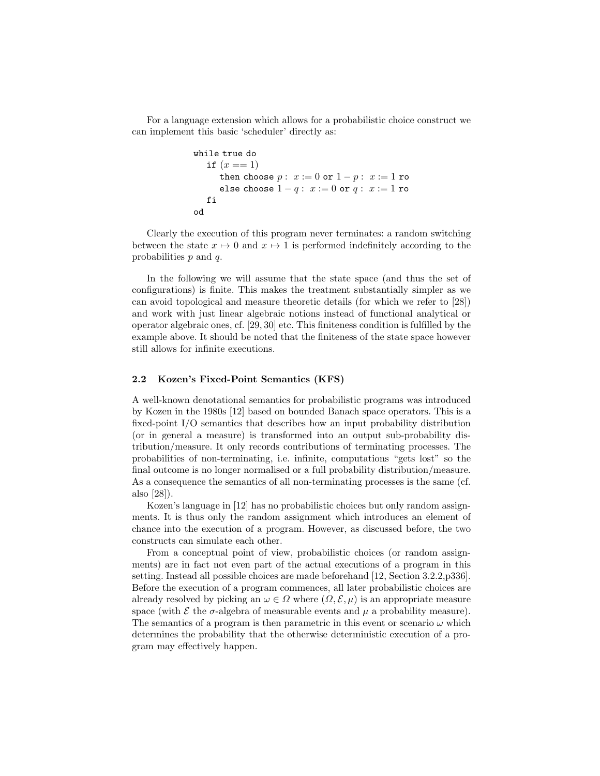For a language extension which allows for a probabilistic choice construct we can implement this basic 'scheduler' directly as:

```
while true do
  if (x == 1)then choose p: x := 0 or 1 - p: x := 1 ro
     else choose 1 - q: x := 0 or q : x := 1 ro
  fi
od
```
Clearly the execution of this program never terminates: a random switching between the state  $x \mapsto 0$  and  $x \mapsto 1$  is performed indefinitely according to the probabilities  $p$  and  $q$ .

In the following we will assume that the state space (and thus the set of configurations) is finite. This makes the treatment substantially simpler as we can avoid topological and measure theoretic details (for which we refer to [28]) and work with just linear algebraic notions instead of functional analytical or operator algebraic ones, cf. [29, 30] etc. This finiteness condition is fulfilled by the example above. It should be noted that the finiteness of the state space however still allows for infinite executions.

#### 2.2 Kozen's Fixed-Point Semantics (KFS)

A well-known denotational semantics for probabilistic programs was introduced by Kozen in the 1980s [12] based on bounded Banach space operators. This is a fixed-point I/O semantics that describes how an input probability distribution (or in general a measure) is transformed into an output sub-probability distribution/measure. It only records contributions of terminating processes. The probabilities of non-terminating, i.e. infinite, computations "gets lost" so the final outcome is no longer normalised or a full probability distribution/measure. As a consequence the semantics of all non-terminating processes is the same (cf. also [28]).

Kozen's language in [12] has no probabilistic choices but only random assignments. It is thus only the random assignment which introduces an element of chance into the execution of a program. However, as discussed before, the two constructs can simulate each other.

From a conceptual point of view, probabilistic choices (or random assignments) are in fact not even part of the actual executions of a program in this setting. Instead all possible choices are made beforehand [12, Section 3.2.2,p336]. Before the execution of a program commences, all later probabilistic choices are already resolved by picking an  $\omega \in \Omega$  where  $(\Omega, \mathcal{E}, \mu)$  is an appropriate measure space (with  $\mathcal E$  the  $\sigma$ -algebra of measurable events and  $\mu$  a probability measure). The semantics of a program is then parametric in this event or scenario  $\omega$  which determines the probability that the otherwise deterministic execution of a program may effectively happen.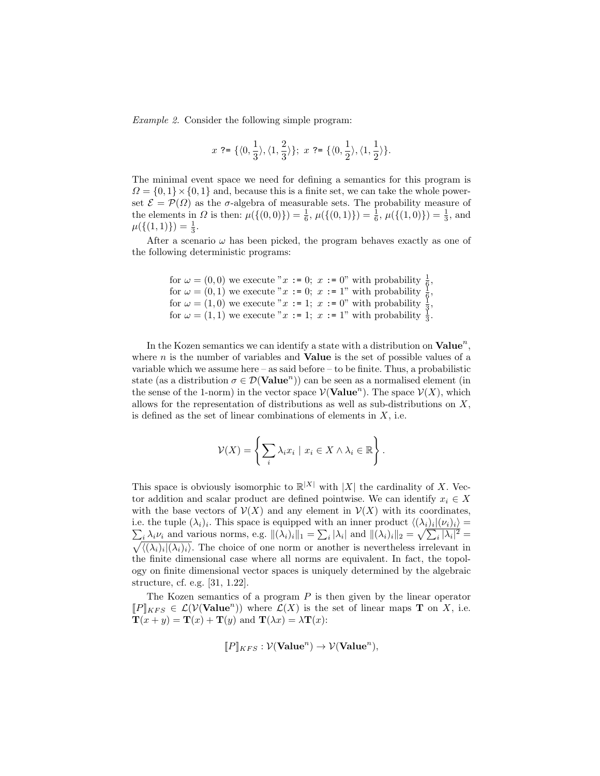Example 2. Consider the following simple program:

$$
x\,\mathrel{?}=\{\langle 0,\frac{1}{3}\rangle,\langle 1,\frac{2}{3}\rangle\};\,\,x\,\mathrel{?}=\{\langle 0,\frac{1}{2}\rangle,\langle 1,\frac{1}{2}\rangle\}.
$$

The minimal event space we need for defining a semantics for this program is  $\Omega = \{0, 1\} \times \{0, 1\}$  and, because this is a finite set, we can take the whole powerset  $\mathcal{E} = \mathcal{P}(\Omega)$  as the  $\sigma$ -algebra of measurable sets. The probability measure of the elements in  $\Omega$  is then:  $\mu(\{(0,0)\}) = \frac{1}{6}, \mu(\{(0,1)\}) = \frac{1}{6}, \mu(\{(1,0)\}) = \frac{1}{3}$ , and  $\mu({(1,1)}) = \frac{1}{3}.$ 

After a scenario  $\omega$  has been picked, the program behaves exactly as one of the following deterministic programs:

```
for \omega = (0,0) we execute "x := 0; x := 0" with probability \frac{1}{6}\frac{1}{6},for \omega = (0, 1) we execute "x := 0; x := 1" with probability \frac{1}{6},
for \omega = (0, 1) we execute x = 0, x = 1 with probability \frac{6}{3},<br>for \omega = (1, 0) we execute x := 1; x := 0, with probability \frac{6}{3},
for \omega = (1, 1) we execute "x := 1; x := 1" with probability \frac{1}{3}.
```
In the Kozen semantics we can identify a state with a distribution on  $\textbf{Value}^n$ , where  $n$  is the number of variables and **Value** is the set of possible values of a variable which we assume here – as said before – to be finite. Thus, a probabilistic state (as a distribution  $\sigma \in \mathcal{D}(\mathbf{Value}^n)$ ) can be seen as a normalised element (in the sense of the 1-norm) in the vector space  $\mathcal{V}(\mathbf{Value}^n)$ . The space  $\mathcal{V}(X)$ , which allows for the representation of distributions as well as sub-distributions on  $X$ , is defined as the set of linear combinations of elements in  $X$ , i.e.

$$
\mathcal{V}(X) = \left\{ \sum_{i} \lambda_i x_i \mid x_i \in X \land \lambda_i \in \mathbb{R} \right\}.
$$

This space is obviously isomorphic to  $\mathbb{R}^{|X|}$  with |X| the cardinality of X. Vector addition and scalar product are defined pointwise. We can identify  $x_i \in X$ with the base vectors of  $\mathcal{V}(X)$  and any element in  $\mathcal{V}(X)$  with its coordinates, i.e. the tuple  $(\lambda_i)_i$ . This space is equipped with an inner product  $\langle (\lambda_i)_i | (\nu_i)_i \rangle =$  $\sum_i \lambda_i \nu_i$  and various norms, e.g.  $\|(\lambda_i)_i\|_1 = \sum_i |\lambda_i|$  and  $\|(\lambda_i)_i\|_2 = \sqrt{\sum_i |\lambda_i|^2} =$  $\sqrt{\langle (\lambda_i)_i | (\lambda_i)_i \rangle}$ . The choice of one norm or another is nevertheless irrelevant in the finite dimensional case where all norms are equivalent. In fact, the topology on finite dimensional vector spaces is uniquely determined by the algebraic structure, cf. e.g. [31, 1.22].

The Kozen semantics of a program  $P$  is then given by the linear operator  $[P]_{KFS} \in \mathcal{L}(\mathcal{V}(\mathbf{Value}^n))$  where  $\mathcal{L}(X)$  is the set of linear maps **T** on X, i.e.  $\mathbf{T}(x+y) = \mathbf{T}(x) + \mathbf{T}(y)$  and  $\mathbf{T}(\lambda x) = \lambda \mathbf{T}(x)$ :

$$
[\![P]\!]_{KFS} : \mathcal{V}(\mathbf{Value}^n) \to \mathcal{V}(\mathbf{Value}^n),
$$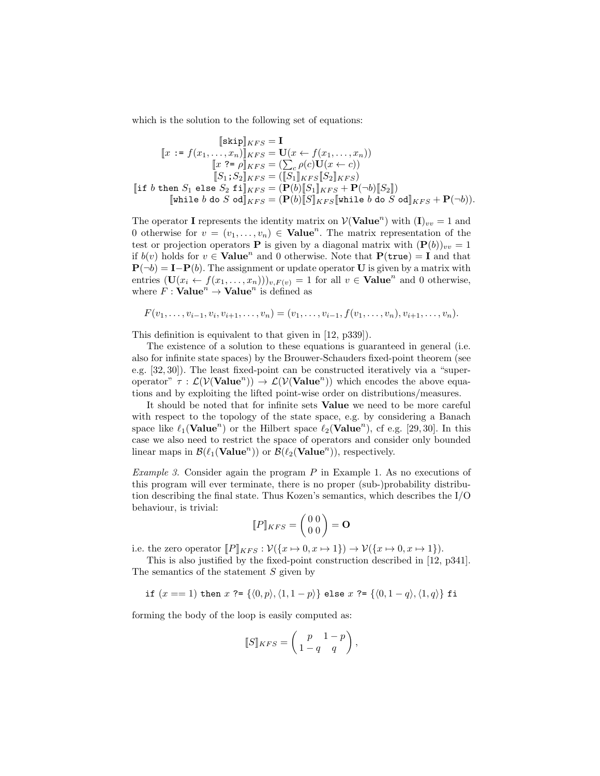which is the solution to the following set of equations:

$$
\begin{aligned}\n[\text{skip}]_{KFS} &= \mathbf{I} \\
[x := f(x_1, \dots, x_n)]_{KFS} &= \mathbf{U}(x \leftarrow f(x_1, \dots, x_n)) \\
[x \stackrel{?}{=} \rho]_{KFS} &= (\sum_c \rho(c)\mathbf{U}(x \leftarrow c)) \\
[S_1; S_2]_{KFS} &= ([S_1]_{KFS} [S_2]_{KFS}) \\
[\text{if } b \text{ then } S_1 \text{ else } S_2 \text{ if } ]_{KFS} &= (\mathbf{P}(b) [S_1]_{KFS} + \mathbf{P}(\neg b) [S_2]) \\
[\text{while } b \text{ do } S \text{ od}]_{KFS} &= (\mathbf{P}(b) [S]_{KFS} [\text{while } b \text{ do } S \text{ od}]_{KFS} + \mathbf{P}(\neg b)).\n\end{aligned}
$$

The operator **I** represents the identity matrix on  $V(\text{Value}^n)$  with  $(I)_{vv} = 1$  and 0 otherwise for  $v = (v_1, \ldots, v_n) \in \mathbf{Value}^n$ . The matrix representation of the test or projection operators **P** is given by a diagonal matrix with  $(\mathbf{P}(b))_{vv} = 1$ if  $b(v)$  holds for  $v \in \mathbf{Value}^n$  and 0 otherwise. Note that  $\mathbf{P}(\mathtt{true}) = \mathbf{I}$  and that  ${\bf P}(\neg b) = {\bf I} - {\bf P}(b)$ . The assignment or update operator U is given by a matrix with entries  $(\mathbf{U}(x_i \leftarrow f(x_1, \ldots, x_n)))_{v,F(v)} = 1$  for all  $v \in \mathbf{Value}^n$  and 0 otherwise, where  $F : \mathbf{Value}^n \to \mathbf{Value}^n$  is defined as

$$
F(v_1,\ldots,v_{i-1},v_i,v_{i+1},\ldots,v_n)=(v_1,\ldots,v_{i-1},f(v_1,\ldots,v_n),v_{i+1},\ldots,v_n).
$$

This definition is equivalent to that given in [12, p339]).

The existence of a solution to these equations is guaranteed in general (i.e. also for infinite state spaces) by the Brouwer-Schauders fixed-point theorem (see e.g. [32, 30]). The least fixed-point can be constructed iteratively via a "superoperator"  $\tau : \mathcal{L}(\mathcal{V}(\mathbf{Value}^n)) \to \mathcal{L}(\mathcal{V}(\mathbf{Value}^n))$  which encodes the above equations and by exploiting the lifted point-wise order on distributions/measures.

It should be noted that for infinite sets Value we need to be more careful with respect to the topology of the state space, e.g. by considering a Banach space like  $\ell_1(\text{Value}^n)$  or the Hilbert space  $\ell_2(\text{Value}^n)$ , cf e.g. [29, 30]. In this case we also need to restrict the space of operators and consider only bounded linear maps in  $\mathcal{B}(\ell_1(\mathbf{Value}^n))$  or  $\mathcal{B}(\ell_2(\mathbf{Value}^n))$ , respectively.

Example 3. Consider again the program  $P$  in Example 1. As no executions of this program will ever terminate, there is no proper (sub-)probability distribution describing the final state. Thus Kozen's semantics, which describes the I/O behaviour, is trivial:

$$
[\![P]\!]_{KFS} = \begin{pmatrix} 0 & 0 \\ 0 & 0 \end{pmatrix} = \mathbf{O}
$$

i.e. the zero operator  $[P]_{KFS} : \mathcal{V}(\{x \mapsto 0, x \mapsto 1\}) \to \mathcal{V}(\{x \mapsto 0, x \mapsto 1\}).$ 

This is also justified by the fixed-point construction described in [12, p341]. The semantics of the statement S given by

if  $(x == 1)$  then  $x$  ?=  $\{\langle 0, p \rangle, \langle 1, 1 - p \rangle\}$  else  $x$  ?=  $\{\langle 0, 1 - q \rangle, \langle 1, q \rangle\}$  fi

forming the body of the loop is easily computed as:

$$
[\![S]\!]_{KFS} = \left(\begin{array}{cc} p & 1-p \\ 1-q & q \end{array}\right),
$$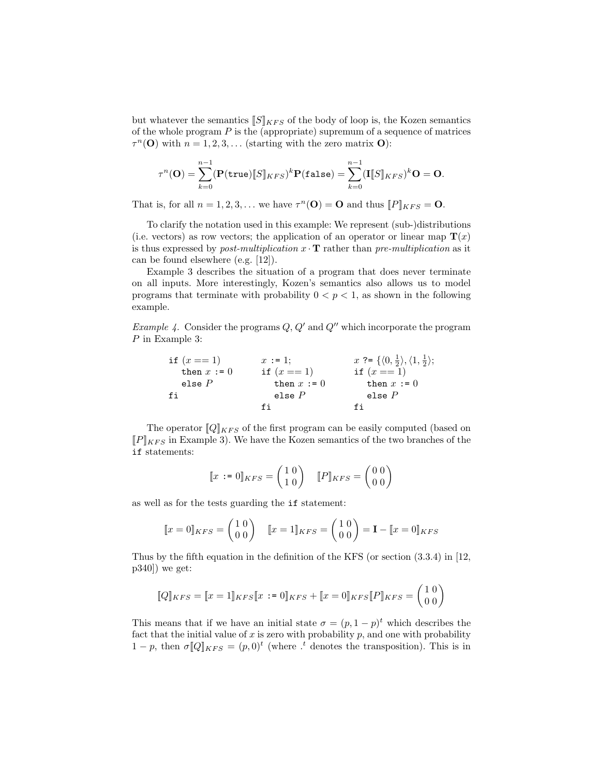but whatever the semantics  $\llbracket S \rrbracket_{KFS}$  of the body of loop is, the Kozen semantics of the whole program  $P$  is the (appropriate) supremum of a sequence of matrices  $\tau^{n}(\mathbf{O})$  with  $n = 1, 2, 3, \ldots$  (starting with the zero matrix **O**):

$$
\tau^{n}(\mathbf{O}) = \sum_{k=0}^{n-1} (\mathbf{P}(\mathbf{true})[S]_{KFS})^{k} \mathbf{P}(\mathbf{false}) = \sum_{k=0}^{n-1} (\mathbf{I}[S]_{KFS})^{k} \mathbf{O} = \mathbf{O}.
$$

That is, for all  $n = 1, 2, 3, ...$  we have  $\tau^n(\mathbf{O}) = \mathbf{O}$  and thus  $[P]_{KFS} = \mathbf{O}$ .

To clarify the notation used in this example: We represent (sub-)distributions (i.e. vectors) as row vectors; the application of an operator or linear map  $\mathbf{T}(x)$ is thus expressed by *post-multiplication*  $x \cdot T$  rather than *pre-multiplication* as it can be found elsewhere (e.g. [12]).

Example 3 describes the situation of a program that does never terminate on all inputs. More interestingly, Kozen's semantics also allows us to model programs that terminate with probability  $0 < p < 1$ , as shown in the following example.

*Example 4.* Consider the programs  $Q, Q'$  and  $Q''$  which incorporate the program P in Example 3:

> if  $(x == 1)$ then  $x := 0$ else P fi  $x := 1;$ if  $(x == 1)$ then  $x := 0$ else P fi x ?=  $\{\langle 0, \frac{1}{2} \rangle, \langle 1, \frac{1}{2} \rangle\}$ if  $(x == 1)$ then  $x := 0$ else P fi

The operator  $[Q]_{KFS}$  of the first program can be easily computed (based on  $[$ [P] $|KFS$  in Example 3). We have the Kozen semantics of the two branches of the if statements:

$$
\llbracket x := 0 \rrbracket_{KFS} = \begin{pmatrix} 1 & 0 \\ 1 & 0 \end{pmatrix} \quad \llbracket P \rrbracket_{KFS} = \begin{pmatrix} 0 & 0 \\ 0 & 0 \end{pmatrix}
$$

as well as for the tests guarding the if statement:

$$
\llbracket x = 0 \rrbracket_{KFS} = \begin{pmatrix} 1 & 0 \\ 0 & 0 \end{pmatrix} \quad \llbracket x = 1 \rrbracket_{KFS} = \begin{pmatrix} 1 & 0 \\ 0 & 0 \end{pmatrix} = \mathbf{I} - \llbracket x = 0 \rrbracket_{KFS}
$$

Thus by the fifth equation in the definition of the KFS (or section (3.3.4) in [12,  $p340$ ) we get:

$$
[\![Q]\!]_{KFS} = [\![x=1]\!]_{KFS}[\![x:=0]\!]_{KFS} + [\![x=0]\!]_{KFS}[\![P]\!]_{KFS} = \begin{pmatrix} 1 & 0 \\ 0 & 0 \end{pmatrix}
$$

This means that if we have an initial state  $\sigma = (p, 1-p)^t$  which describes the fact that the initial value of  $x$  is zero with probability  $p$ , and one with probability  $1-p$ , then  $\sigma$ [Q]<sub>KFS</sub> =  $(p,0)^t$  (where  $\cdot$ <sup>t</sup> denotes the transposition). This is in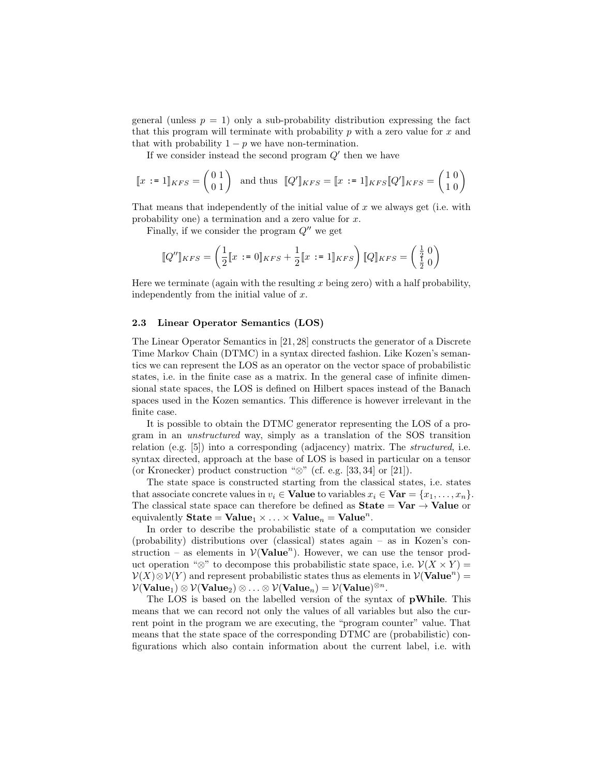general (unless  $p = 1$ ) only a sub-probability distribution expressing the fact that this program will terminate with probability  $p$  with a zero value for  $x$  and that with probability  $1 - p$  we have non-termination.

If we consider instead the second program  $Q'$  then we have

$$
\llbracket x := 1 \rrbracket_{KFS} = \begin{pmatrix} 0 & 1 \\ 0 & 1 \end{pmatrix} \text{ and thus } \llbracket Q' \rrbracket_{KFS} = \llbracket x := 1 \rrbracket_{KFS} \llbracket Q' \rrbracket_{KFS} = \begin{pmatrix} 1 & 0 \\ 1 & 0 \end{pmatrix}
$$

That means that independently of the initial value of  $x$  we always get (i.e. with probability one) a termination and a zero value for x.

Finally, if we consider the program  $Q''$  we get

$$
[\![Q'']\!]_{KFS} = \left(\frac{1}{2}[\![x:=0]\!]_{KFS} + \frac{1}{2}[\![x:=1]\!]_{KFS}\right) [\![Q]\!]_{KFS} = \left(\frac{\frac{1}{2}}{\frac{1}{2}}\frac{0}{0}\right)
$$

Here we terminate (again with the resulting x being zero) with a half probability, independently from the initial value of  $x$ .

#### 2.3 Linear Operator Semantics (LOS)

The Linear Operator Semantics in [21, 28] constructs the generator of a Discrete Time Markov Chain (DTMC) in a syntax directed fashion. Like Kozen's semantics we can represent the LOS as an operator on the vector space of probabilistic states, i.e. in the finite case as a matrix. In the general case of infinite dimensional state spaces, the LOS is defined on Hilbert spaces instead of the Banach spaces used in the Kozen semantics. This difference is however irrelevant in the finite case.

It is possible to obtain the DTMC generator representing the LOS of a program in an unstructured way, simply as a translation of the SOS transition relation (e.g. [5]) into a corresponding (adjacency) matrix. The structured, i.e. syntax directed, approach at the base of LOS is based in particular on a tensor (or Kronecker) product construction "⊗" (cf. e.g. [33, 34] or [21]).

The state space is constructed starting from the classical states, i.e. states that associate concrete values in  $v_i \in$  **Value** to variables  $x_i \in \mathbf{Var} = \{x_1, \ldots, x_n\}.$ The classical state space can therefore be defined as  $State = Var \rightarrow Value$  or equivalently  $\textbf{State} = \textbf{Value}_1 \times \ldots \times \textbf{Value}_n = \textbf{Value}^n$ .

In order to describe the probabilistic state of a computation we consider (probability) distributions over (classical) states again – as in Kozen's construction – as elements in  $V(\text{Value}^n)$ . However, we can use the tensor product operation "⊗" to decompose this probabilistic state space, i.e.  $\mathcal{V}(X \times Y) =$  $\mathcal{V}(X) \otimes \mathcal{V}(Y)$  and represent probabilistic states thus as elements in  $\mathcal{V}(\mathbf{Value}^n) =$  $\mathcal{V}(\mathbf{Value}_1) \otimes \mathcal{V}(\mathbf{Value}_2) \otimes \ldots \otimes \mathcal{V}(\mathbf{Value}_n) = \mathcal{V}(\mathbf{Value})^{\otimes n}.$ 

The LOS is based on the labelled version of the syntax of pWhile. This means that we can record not only the values of all variables but also the current point in the program we are executing, the "program counter" value. That means that the state space of the corresponding DTMC are (probabilistic) configurations which also contain information about the current label, i.e. with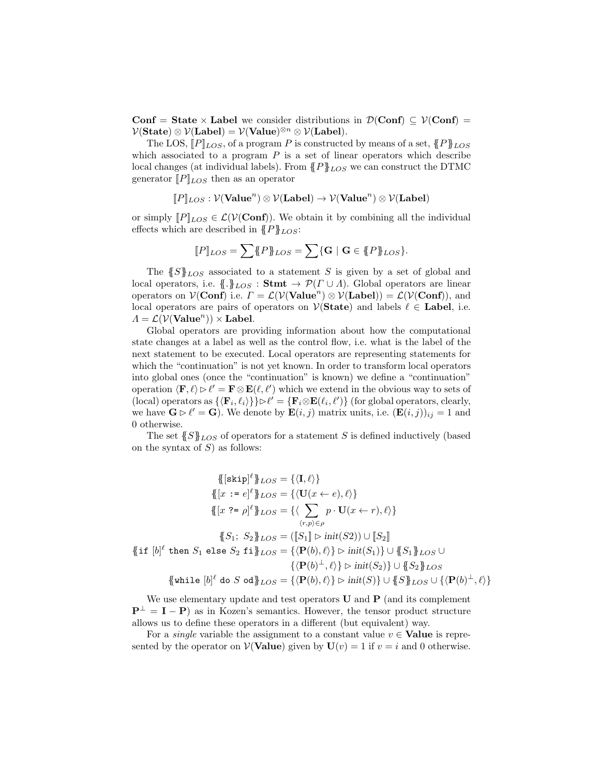Conf = State × Label we consider distributions in  $\mathcal{D}(\text{Conf}) \subseteq \mathcal{V}(\text{Conf})$  =  $\mathcal{V}(\textbf{State}) \otimes \mathcal{V}(\textbf{Label}) = \mathcal{V}(\textbf{Value})^{\otimes n} \otimes \mathcal{V}(\textbf{Label}).$ 

The LOS,  $[P]_{LOS}$ , of a program P is constructed by means of a set,  ${P}_{RLOS}$ which associated to a program  $P$  is a set of linear operators which describe local changes (at individual labels). From  ${P}_{LOS}^{\text{P}}$  we can construct the DTMC generator  $[P]_{LOS}$  then as an operator

$$
[\![P]\!]_{LOS} : \mathcal{V}(\mathbf{Value}^n) \otimes \mathcal{V}(\mathbf{Label}) \rightarrow \mathcal{V}(\mathbf{Value}^n) \otimes \mathcal{V}(\mathbf{Label})
$$

or simply  $[P]_{LOS} \in \mathcal{L}(V(\text{Conf}))$ . We obtain it by combining all the individual effects which are described in  ${P}_{LOS}$ :

$$
[\![P]\!]_{LOS}=\sum \{\!\!\{P\}\!\!\}_{LOS}=\sum \{\mathbf{G}\mid \mathbf{G}\in \{\!\!\{P\}\!\!\}_{LOS}\}.
$$

The  ${S}$ <sub>LOS</sub> associated to a statement S is given by a set of global and local operators, i.e.  $\{.\}_{LOS} : \mathbf{Stmt} \rightarrow \mathcal{P}(\Gamma \cup \Lambda)$ . Global operators are linear operators on  $\mathcal{V}(\mathbf{Conf})$  i.e.  $\Gamma = \mathcal{L}(\mathcal{V}(\mathbf{Value}^n) \otimes \mathcal{V}(\mathbf{Label})) = \mathcal{L}(\mathcal{V}(\mathbf{Conf})),$  and local operators are pairs of operators on  $\mathcal{V}(\textbf{State})$  and labels  $\ell \in \textbf{Label}$ , i.e.  $\Lambda = \mathcal{L}(\mathcal{V}(\mathbf{Value}^n)) \times \mathbf{Label}.$ 

Global operators are providing information about how the computational state changes at a label as well as the control flow, i.e. what is the label of the next statement to be executed. Local operators are representing statements for which the "continuation" is not yet known. In order to transform local operators into global ones (once the "continuation" is known) we define a "continuation" operation  $\langle \mathbf{F}, \ell \rangle \triangleright \ell' = \mathbf{F} \otimes \mathbf{E}(\ell, \ell')$  which we extend in the obvious way to sets of (local) operators as  $\{\langle \mathbf{F}_i, \ell_i \rangle\} \} \triangleright \ell' = \{\mathbf{F}_i \otimes \mathbf{E}(\ell_i, \ell')\}$  (for global operators, clearly, we have  $\mathbf{G} \triangleright \ell' = \mathbf{G}$ . We denote by  $\mathbf{E}(i, j)$  matrix units, i.e.  $(\mathbf{E}(i, j))_{ij} = 1$  and 0 otherwise.

The set  ${S}_{LOS}$  of operators for a statement S is defined inductively (based on the syntax of  $S$ ) as follows:

$$
\begin{aligned}\n\{\left[\text{skip}\right]^{l}\right\}_{LOS} &= \{\langle \mathbf{I}, \ell \rangle\} \\
\{\left[x := e\right]^{l}\}_{LOS} &= \{\langle \mathbf{U}(x \leftarrow e), \ell \rangle\} \\
\{\left[x := e\right]^{l}\}_{LOS} &= \{\langle \sum_{(r,p) \in \rho} p \cdot \mathbf{U}(x \leftarrow r), \ell \rangle\} \\
\{\left[x \in e\right]^{l}\}_{LOS} &= \{\sum_{(r,p) \in \rho} p \cdot \mathbf{U}(x \leftarrow r), \ell \rangle\} \\
\{\left[x \in e\right]^{l}\}_{LOS} &= \{\left[\mathbf{S}_1\right] \triangleright \text{init}(S_2) \cup \left[\mathbf{S}_2\right] \\
\{\text{if } [b]^l \text{ then } S_1 \text{ else } S_2 \text{ if} \}_{LOS}^{l} &= \{\left(\mathbf{P}(b), \ell \right\} \triangleright \text{init}(S_1)\} \cup \{\left\{S_1\}_{LOS} \cup \{\left\{\mathbf{P}(b)^{\perp}, \ell \right\} \in \mathbb{N}\}\n\} \\
\{\text{while } [b]^l \text{ do } S \text{ od} \}_{LOS} &= \{\left\{\mathbf{P}(b), \ell \right\} \triangleright \text{init}(S)\} \cup \{\left\{S\}_{LOS} \cup \{\left\{\mathbf{P}(b)^{\perp}, \ell \right\}\n\}\n\end{aligned}
$$

We use elementary update and test operators  $U$  and  $P$  (and its complement  $\mathbf{P}^{\perp} = \mathbf{I} - \mathbf{P}$ ) as in Kozen's semantics. However, the tensor product structure allows us to define these operators in a different (but equivalent) way.

For a *single* variable the assignment to a constant value  $v \in$  **Value** is represented by the operator on  $V(\textbf{Value})$  given by  $U(v) = 1$  if  $v = i$  and 0 otherwise.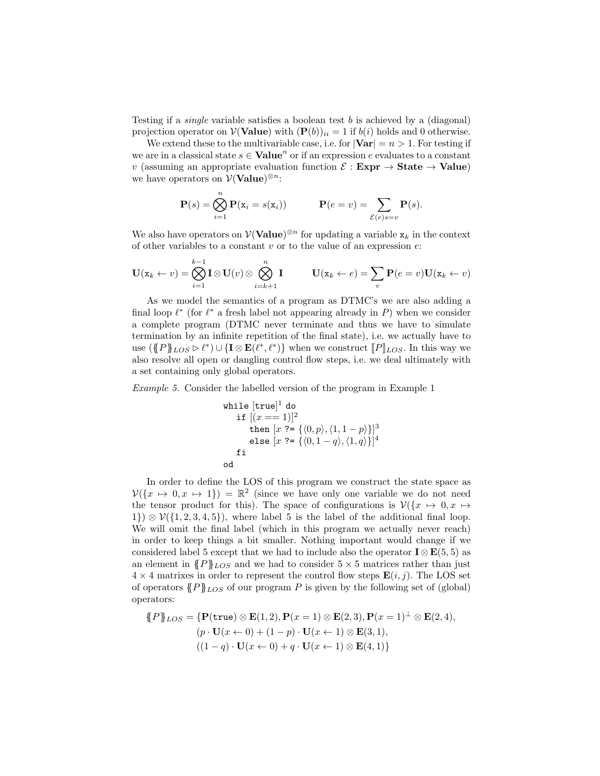Testing if a *single* variable satisfies a boolean test  $b$  is achieved by a (diagonal) projection operator on  $\mathcal{V}(\textbf{Value})$  with  $(\mathbf{P}(b))_{ii} = 1$  if  $b(i)$  holds and 0 otherwise.

We extend these to the multivariable case, i.e. for  $|\mathbf{Var}| = n > 1$ . For testing if we are in a classical state  $s \in \mathbf{Value}^n$  or if an expression e evaluates to a constant v (assuming an appropriate evaluation function  $\mathcal{E} : \mathbf{Expr} \to \mathbf{State} \to \mathbf{Value}$ ) we have operators on  $\mathcal{V}(\mathbf{Value})^{\otimes n}$ :

$$
\mathbf{P}(s) = \bigotimes_{i=1}^{n} \mathbf{P}(\mathbf{x}_i = s(\mathbf{x}_i)) \qquad \mathbf{P}(e = v) = \sum_{\mathcal{E}(e) s = v} \mathbf{P}(s).
$$

We also have operators on  $\mathcal{V}(\mathbf{Value})^{\otimes n}$  for updating a variable  $\mathbf{x}_k$  in the context of other variables to a constant  $v$  or to the value of an expression  $e$ .

$$
\mathbf{U}(\mathbf{x}_k \leftarrow v) = \bigotimes_{i=1}^{k-1} \mathbf{I} \otimes \mathbf{U}(v) \otimes \bigotimes_{i=k+1}^{n} \mathbf{I} \qquad \mathbf{U}(\mathbf{x}_k \leftarrow e) = \sum_{v} \mathbf{P}(e=v) \mathbf{U}(\mathbf{x}_k \leftarrow v)
$$

As we model the semantics of a program as DTMC's we are also adding a final loop  $\ell^*$  (for  $\ell^*$  a fresh label not appearing already in P) when we consider a complete program (DTMC never terminate and thus we have to simulate termination by an infinite repetition of the final state), i.e. we actually have to use  $(\P P_{\text{FDS}} \triangleright \ell^*) \cup {\{\mathbf{I} \otimes \mathbf{E}(\ell^*, \ell^*)\}}$  when we construct  $[P]_{LOS}$ . In this way we also resolve all open or dangling control flow steps, i.e. we deal ultimately with a set containing only global operators.

Example 5. Consider the labelled version of the program in Example 1

while [true]<sup>1</sup> do  
if 
$$
[(x == 1)]^2
$$
  
then  $[x ? = \{(0, p), (1, 1 - p)\}]^3$   
else  $[x ? = \{(0, 1 - q), (1, q)\}]^4$   
fi  
od

In order to define the LOS of this program we construct the state space as  $\mathcal{V}(\lbrace x \mapsto 0, x \mapsto 1 \rbrace) = \mathbb{R}^2$  (since we have only one variable we do not need the tensor product for this). The space of configurations is  $\mathcal{V}(\lbrace x \mapsto 0, x \mapsto \lbrace x \rbrace)$ 1}) ⊗  $V({1, 2, 3, 4, 5})$ , where label 5 is the label of the additional final loop. We will omit the final label (which in this program we actually never reach) in order to keep things a bit smaller. Nothing important would change if we considered label 5 except that we had to include also the operator  $\mathbf{I} \otimes \mathbf{E}(5,5)$  as an element in  ${P}_{LOS}$  and we had to consider  $5 \times 5$  matrices rather than just  $4 \times 4$  matrixes in order to represent the control flow steps  $\mathbf{E}(i, j)$ . The LOS set of operators  ${P}_{LOS}$  of our program P is given by the following set of (global) operators:

$$
\{P\}_{LOS} = \{P(\text{true}) \otimes \mathbf{E}(1,2), P(x=1) \otimes \mathbf{E}(2,3), P(x=1)^{\perp} \otimes \mathbf{E}(2,4),
$$
  
\n
$$
(p \cdot \mathbf{U}(x \leftarrow 0) + (1-p) \cdot \mathbf{U}(x \leftarrow 1) \otimes \mathbf{E}(3,1),
$$
  
\n
$$
((1-q) \cdot \mathbf{U}(x \leftarrow 0) + q \cdot \mathbf{U}(x \leftarrow 1) \otimes \mathbf{E}(4,1)\}
$$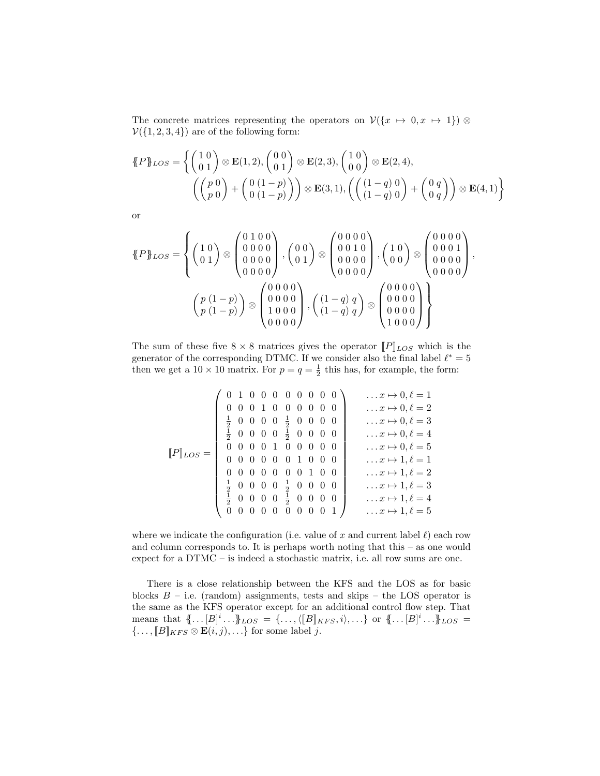The concrete matrices representing the operators on  $\mathcal{V}(\lbrace x \mapsto 0, x \mapsto 1 \rbrace)$  ⊗  $V({1, 2, 3, 4})$  are of the following form:

$$
\mathcal{L}P_{\text{LOS}} = \left\{ \begin{pmatrix} 1 & 0 \\ 0 & 1 \end{pmatrix} \otimes \mathbf{E}(1,2), \begin{pmatrix} 0 & 0 \\ 0 & 1 \end{pmatrix} \otimes \mathbf{E}(2,3), \begin{pmatrix} 1 & 0 \\ 0 & 0 \end{pmatrix} \otimes \mathbf{E}(2,4), \begin{pmatrix} 0 & 0 \\ 0 & 0 \end{pmatrix} + \begin{pmatrix} 0 & (1-p) \\ 0 & (1-p) \end{pmatrix} \right\} \otimes \mathbf{E}(3,1), \left( \begin{pmatrix} (1-q) & 0 \\ (1-q) & 0 \end{pmatrix} + \begin{pmatrix} 0 & q \\ 0 & q \end{pmatrix} \right) \otimes \mathbf{E}(4,1) \right\}
$$

or

$$
\mathcal{H}P\mathcal{F}^{f} = \left\{ \begin{pmatrix} 1 & 0 \\ 0 & 1 \end{pmatrix} \otimes \begin{pmatrix} 0 & 1 & 0 & 0 \\ 0 & 0 & 0 & 0 \\ 0 & 0 & 0 & 0 \\ 0 & 0 & 0 & 0 \end{pmatrix}, \begin{pmatrix} 0 & 0 \\ 0 & 1 \end{pmatrix} \otimes \begin{pmatrix} 0 & 0 & 0 & 0 \\ 0 & 0 & 1 & 0 \\ 0 & 0 & 0 & 0 \\ 0 & 0 & 0 & 0 \end{pmatrix}, \begin{pmatrix} 1 & 0 \\ 0 & 0 \end{pmatrix} \otimes \begin{pmatrix} 0 & 0 & 0 & 0 \\ 0 & 0 & 0 & 0 \\ 0 & 0 & 0 & 0 \\ 0 & 0 & 0 & 0 \end{pmatrix}, \begin{pmatrix} 1 & 0 & 0 & 0 \\ 0 & 0 & 0 & 0 \\ 0 & 0 & 0 & 0 \\ 0 & 0 & 0 & 0 \end{pmatrix} \right\}
$$

The sum of these five  $8 \times 8$  matrices gives the operator  $||P||_{LOS}$  which is the generator of the corresponding DTMC. If we consider also the final label  $\ell^* = 5$ then we get a  $10 \times 10$  matrix. For  $p = q = \frac{1}{2}$  this has, for example, the form:

$$
\llbracket P \rrbracket_{LOS} = \begin{pmatrix} 0 & 1 & 0 & 0 & 0 & 0 & 0 & 0 & 0 & 0 \\ 0 & 0 & 0 & 1 & 0 & 0 & 0 & 0 & 0 & 0 \\ \frac{1}{2} & 0 & 0 & 0 & 0 & \frac{1}{2} & 0 & 0 & 0 & 0 \\ \frac{1}{2} & 0 & 0 & 0 & 0 & \frac{1}{2} & 0 & 0 & 0 & 0 \\ 0 & 0 & 0 & 0 & 1 & 0 & 0 & 0 & 0 \\ 0 & 0 & 0 & 0 & 0 & 1 & 0 & 0 & 0 \\ 0 & 0 & 0 & 0 & 0 & 1 & 0 & 0 & 0 \\ \frac{1}{2} & 0 & 0 & 0 & 0 & 0 & 1 & 0 & 0 \\ \frac{1}{2} & 0 & 0 & 0 & 0 & \frac{1}{2} & 0 & 0 & 0 & 0 \\ 0 & 0 & 0 & 0 & \frac{1}{2} & 0 & 0 & 0 & 0 \\ 0 & 0 & 0 & 0 & 0 & 0 & 0 & 1 & 0 \end{pmatrix} \quad \begin{array}{c} \dots x \mapsto 0, \ell = 1 \\ \dots x \mapsto 0, \ell = 3 \\ \dots x \mapsto 0, \ell = 4 \\ \dots x \mapsto 1, \ell = 1 \\ \dots x \mapsto 1, \ell = 1 \\ \dots x \mapsto 1, \ell = 2 \\ \dots x \mapsto 1, \ell = 3 \\ \dots x \mapsto 1, \ell = 4 \\ \dots x \mapsto 1, \ell = 4 \\ \dots x \mapsto 1, \ell = 5 \end{array}
$$

where we indicate the configuration (i.e. value of x and current label  $\ell$ ) each row and column corresponds to. It is perhaps worth noting that this – as one would expect for a DTMC – is indeed a stochastic matrix, i.e. all row sums are one.

There is a close relationship between the KFS and the LOS as for basic blocks  $B$  – i.e. (random) assignments, tests and skips – the LOS operator is the same as the KFS operator except for an additional control flow step. That means that  $\{\!\{ \dots [B]^i \dots \}\!\}$   $_{LOS} = \{\dots, \langle [B]_{KFS}, i \rangle, \dots \}$  or  $\{\!\{ \dots [B]^i \dots \}\!\}$   $_{LOS}$  =  $\{\ldots, [B]_{KFS} \otimes \mathbf{E}(i,j), \ldots\}$  for some label j.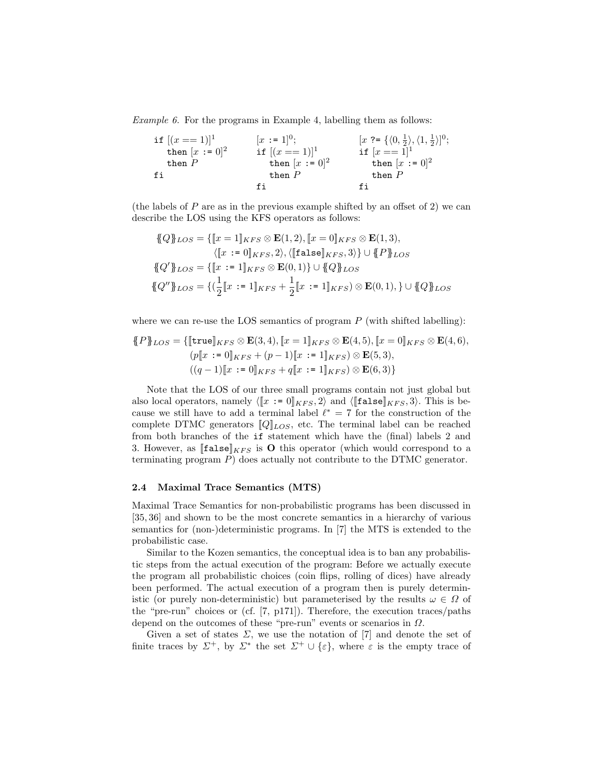Example 6. For the programs in Example 4, labelling them as follows:

$$
\begin{array}{llll}\n\text{if }[(x == 1)]^1 & [x := 1]^0; & [x ? = \{(0, \frac{1}{2}), (1, \frac{1}{2})]^0; \\
\text{then } [x := 0]^2 & \text{if } [(x == 1)]^1 & \text{if } [x == 1]^1 \\
\text{then } P & \text{then } [x := 0]^2 & \text{then } [x := 0]^2 \\
\text{fi} & \text{fi} & \text{fi} & \text{fi} & \n\end{array}
$$

(the labels of  $P$  are as in the previous example shifted by an offset of 2) we can describe the LOS using the KFS operators as follows:

$$
\begin{aligned}\n\{\!\!\{Q\}\!\!\}_{LOS} &= \{ \llbracket x = 1 \rrbracket_{KFS} \otimes \mathbf{E}(1,2), \llbracket x = 0 \rrbracket_{KFS} \otimes \mathbf{E}(1,3), \\
&\quad \langle \llbracket x := 0 \rrbracket_{KFS}, 2 \rangle, \langle \llbracket \mathtt{false} \rrbracket_{KFS}, 3 \rangle \} \cup \{ \!\!\{P\} \!\!\}_{LOS} \\
\{\!\!\{Q'\}\!\!\}_{LOS} &= \{ \llbracket x := 1 \rrbracket_{KFS} \otimes \mathbf{E}(0,1) \} \cup \{ \!\!\{Q\} \!\!\}_{LOS} \\
\{\!\!\{Q''\}\!\!\}_{LOS} &= \{ (\frac{1}{2} \llbracket x := 1 \rrbracket_{KFS} + \frac{1}{2} \llbracket x := 1 \rrbracket_{KFS}) \otimes \mathbf{E}(0,1), \} \cup \{ \!\!\{Q\}\!\!\}_{LOS}\n\end{aligned}
$$

where we can re-use the LOS semantics of program  $P$  (with shifted labelling):

$$
\{P\}_{LOS} = \{[\text{true}]_{KFS} \otimes \mathbf{E}(3,4), [x = 1]_{KFS} \otimes \mathbf{E}(4,5), [x = 0]_{KFS} \otimes \mathbf{E}(4,6),
$$
  

$$
(p[x := 0]_{KFS} + (p-1)[x := 1]_{KFS}) \otimes \mathbf{E}(5,3),
$$
  

$$
((q-1)[x := 0]_{KFS} + q[x := 1]_{KFS}) \otimes \mathbf{E}(6,3)\}
$$

Note that the LOS of our three small programs contain not just global but also local operators, namely  $\langle [x := 0]_{KFS}, 2 \rangle$  and  $\langle [\text{false}]_{KFS}, 3 \rangle$ . This is because we still have to add a terminal label  $\ell^* = 7$  for the construction of the complete DTMC generators  $[Q]_{LOS}$ , etc. The terminal label can be reached from both branches of the if statement which have the (final) labels 2 and 3. However, as  $[\texttt{false}]_{KFS}$  is **O** this operator (which would correspond to a terminating program P) does actually not contribute to the DTMC generator.

#### 2.4 Maximal Trace Semantics (MTS)

Maximal Trace Semantics for non-probabilistic programs has been discussed in [35, 36] and shown to be the most concrete semantics in a hierarchy of various semantics for (non-)deterministic programs. In [7] the MTS is extended to the probabilistic case.

Similar to the Kozen semantics, the conceptual idea is to ban any probabilistic steps from the actual execution of the program: Before we actually execute the program all probabilistic choices (coin flips, rolling of dices) have already been performed. The actual execution of a program then is purely deterministic (or purely non-deterministic) but parameterised by the results  $\omega \in \Omega$  of the "pre-run" choices or (cf. [7, p171]). Therefore, the execution traces/paths depend on the outcomes of these "pre-run" events or scenarios in  $\Omega$ .

Given a set of states  $\Sigma$ , we use the notation of [7] and denote the set of finite traces by  $\Sigma^+$ , by  $\Sigma^*$  the set  $\Sigma^+ \cup {\varepsilon}$ , where  $\varepsilon$  is the empty trace of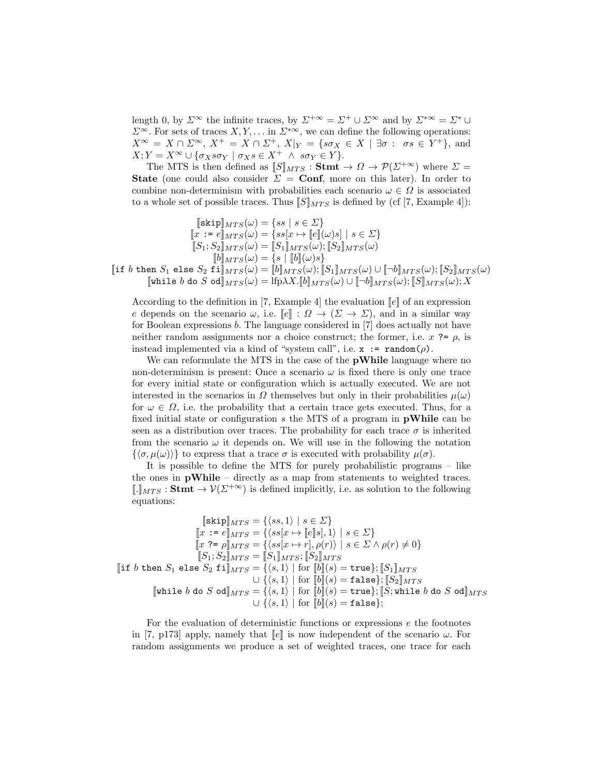length 0, by  $\Sigma^{\infty}$  the infinite traces, by  $\Sigma^{+\infty} = \Sigma^{+} \cup \Sigma^{\infty}$  and by  $\Sigma^{*\infty} = \Sigma^{*} \cup$  $\Sigma^{\infty}$ . For sets of traces  $X, Y, \ldots$  in  $\Sigma^{*\infty}$ , we can define the following operations:  $X^{\infty} = X \cap \Sigma^{\infty}, X^{+} = X \cap \Sigma^{+}, X|_{Y} = \{s\sigma_{X} \in X \mid \exists \sigma : \sigma s \in Y^{+}\}, \text{ and}$  $X; Y = X^{\infty} \cup {\sigma_X s \sigma_Y \mid \sigma_X s \in X^+ \land s \sigma_Y \in Y}.$ 

The MTS is then defined as  $[[S]]_{MTS} : \mathbf{Stmt} \to \Omega \to \mathcal{P}(\Sigma^{+\infty})$  where  $\Sigma =$ State (one could also consider  $\Sigma = \text{Conf}$ , more on this later). In order to combine non-determinism with probabilities each scenario  $\omega \in \Omega$  is associated to a whole set of possible traces. Thus  $\llbracket S \rrbracket_{MTS}$  is defined by (cf [7, Example 4]):

$$
\begin{aligned} [\text{skip}]_{MTS}(\omega) & = \{ss \mid s \in \Sigma\} \\ [x := e]_{MTS}(\omega) & = \{ss[x \mapsto [e](\omega)s] \mid s \in \Sigma\} \\ [S_1; S_2]_{MTS}(\omega) & = [S_1]_{MTS}(\omega); [S_2]_{MTS}(\omega) \\ [b]_{MTS}(\omega) & = \{s \mid [b](\omega)s\} \\ [\text{if } b \text{ then } S_1 \text{ else } S_2 \text{ fi}]_{MTS}(\omega) & = [b]_{MTS}(\omega); [S_1]_{MTS}(\omega) \cup [-b]_{MTS}(\omega); [S_2]_{MTS}(\omega) \\ [\text{while } b \text{ do } S \text{ od}]_{MTS}(\omega) & = \text{Ifp} \lambda X. [b]_{MTS}(\omega) \cup [-b]_{MTS}(\omega); [S]_{MTS}(\omega); X \end{aligned}
$$

According to the definition in [7, Example 4] the evaluation  $\llbracket e \rrbracket$  of an expression e depends on the scenario  $\omega$ , i.e.  $\llbracket e \rrbracket : \Omega \to (\Sigma \to \Sigma)$ , and in a similar way for Boolean expressions b. The language considered in [7] does actually not have neither random assignments nor a choice construct; the former, i.e.  $x \rightarrow e$ , is instead implemented via a kind of "system call", i.e.  $x := \text{random}(\rho)$ .

We can reformulate the MTS in the case of the pWhile language where no non-determinism is present: Once a scenario  $\omega$  is fixed there is only one trace for every initial state or configuration which is actually executed. We are not interested in the scenarios in  $\Omega$  themselves but only in their probabilities  $\mu(\omega)$ for  $\omega \in \Omega$ , i.e. the probability that a certain trace gets executed. Thus, for a fixed initial state or configuration  $s$  the MTS of a program in **pWhile** can be seen as a distribution over traces. The probability for each trace  $\sigma$  is inherited from the scenario  $\omega$  it depends on. We will use in the following the notation  $\{\langle \sigma, \mu(\omega)\rangle\}$  to express that a trace  $\sigma$  is executed with probability  $\mu(\sigma)$ .

It is possible to define the MTS for purely probabilistic programs – like the ones in  $\bf{pWhile}$  – directly as a map from statements to weighted traces.  $\llbracket . \rrbracket_{MTS} : \mathbf{Stmt} \to \mathcal{V}(\Sigma^{+\infty})$  is defined implicitly, i.e. as solution to the following equations:

$$
\begin{aligned}\n[\text{skip}]_{MTS} &= \{\langle ss, 1\rangle \mid s \in \Sigma\} \\
[x := e]_{MTS} &= \{\langle ss[x \mapsto [e]s], 1\rangle \mid s \in \Sigma\} \\
[x \in e]_{MTS} &= \{\langle ss[x \mapsto r], \rho(r)\rangle \mid s \in \Sigma \wedge \rho(r) \neq 0\} \\
[S_1; S_2]_{MTS} &= [S_1]_{MTS}; [S_2]_{MTS} \\
[\text{if } b \text{ then } S_1 \text{ else } S_2 \text{ fi}]_{MTS} &= \{\langle s, 1\rangle \mid \text{for } [b](s) = \text{true}\}; [S_1]_{MTS} \\
&\cup \{\langle s, 1\rangle \mid \text{for } [b](s) = \text{false}\}; [S_2]_{MTS} \\
[\text{while } b \text{ do } S \text{ od}]_{MTS} &= \{\langle s, 1\rangle \mid \text{for } [b](s) = \text{true}\}; [S; \text{while } b \text{ do } S \text{ od}]_{MTS} \\
&\cup \{\langle s, 1\rangle \mid \text{for } [b](s) = \text{false}\}; \\
\end{aligned}
$$

For the evaluation of deterministic functions or expressions e the footnotes in [7, p173] apply, namely that  $\llbracket e \rrbracket$  is now independent of the scenario  $\omega$ . For random assignments we produce a set of weighted traces, one trace for each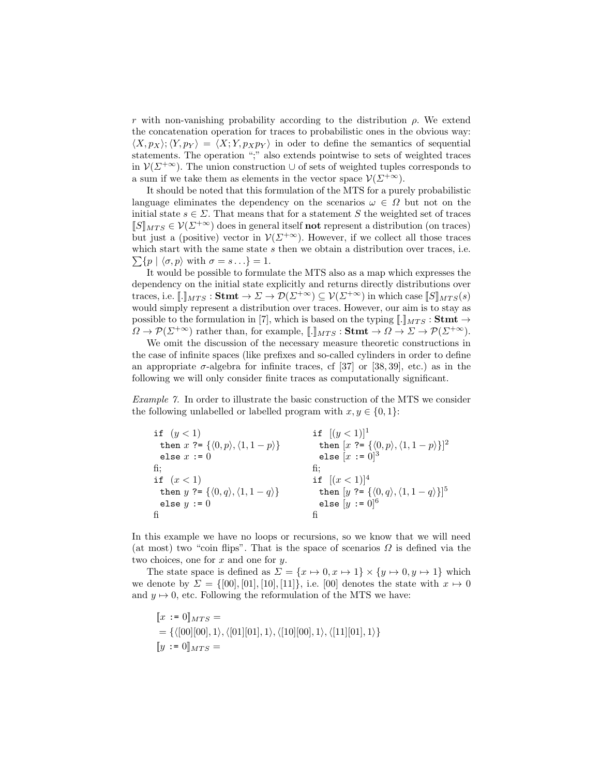r with non-vanishing probability according to the distribution  $\rho$ . We extend the concatenation operation for traces to probabilistic ones in the obvious way:  $\langle X, p_X \rangle$ ;  $\langle Y, p_Y \rangle = \langle X; Y, p_X p_Y \rangle$  in oder to define the semantics of sequential statements. The operation ";" also extends pointwise to sets of weighted traces in  $\mathcal{V}(\Sigma^{+\infty})$ . The union construction  $\cup$  of sets of weighted tuples corresponds to a sum if we take them as elements in the vector space  $\mathcal{V}(\Sigma^{+\infty})$ .

It should be noted that this formulation of the MTS for a purely probabilistic language eliminates the dependency on the scenarios  $\omega \in \Omega$  but not on the initial state  $s \in \Sigma$ . That means that for a statement S the weighted set of traces  $[[S]]_{MTS} \in V(\Sigma^{+\infty})$  does in general itself **not** represent a distribution (on traces) but just a (positive) vector in  $\mathcal{V}(\Sigma^{+\infty})$ . However, if we collect all those traces  $\sum \{p \mid \langle \sigma, p \rangle \text{ with } \sigma = s \ldots \} = 1.$ which start with the same state s then we obtain a distribution over traces, i.e.

It would be possible to formulate the MTS also as a map which expresses the dependency on the initial state explicitly and returns directly distributions over traces, i.e.  $\llbracket \cdot \rrbracket_{MTS} : \mathbf{Stmt} \to \Sigma \to \mathcal{D}(\Sigma^{+\infty}) \subseteq \mathcal{V}(\Sigma^{+\infty})$  in which case  $\llbracket S \rrbracket_{MTS}(s)$ would simply represent a distribution over traces. However, our aim is to stay as possible to the formulation in [7], which is based on the typing  $\llbracket . \rrbracket_{MTS} : \mathbf{Stmt} \rightarrow$  $\Omega \to \mathcal{P}(\Sigma^{+\infty})$  rather than, for example,  $\llbracket . \rrbracket_{MTS} : \mathbf{Stmt} \to \Omega \to \Sigma \to \mathcal{P}(\Sigma^{+\infty})$ .

We omit the discussion of the necessary measure theoretic constructions in the case of infinite spaces (like prefixes and so-called cylinders in order to define an appropriate  $\sigma$ -algebra for infinite traces, cf [37] or [38, 39], etc.) as in the following we will only consider finite traces as computationally significant.

Example 7. In order to illustrate the basic construction of the MTS we consider the following unlabelled or labelled program with  $x, y \in \{0, 1\}$ :

| if $(y < 1)$                                                     | if $[(y < 1)]^1$                                                     |
|------------------------------------------------------------------|----------------------------------------------------------------------|
| then $x \in \{ \langle 0, p \rangle, \langle 1, 1-p \rangle \}$  | then $[x \equiv \{\langle 0, p \rangle, \langle 1, 1-p \rangle\}]^2$ |
| else $x := 0$                                                    | else $[x := 0]^3$                                                    |
| fi:                                                              | fi:                                                                  |
| if $(x<1)$                                                       | if $[(x < 1)]^4$                                                     |
| then $y \equiv {\langle 0, q \rangle, \langle 1, 1 - q \rangle}$ | then $[y \equiv {\langle 0, q \rangle, \langle 1, 1 - q \rangle}]^5$ |
| else $y := 0$                                                    | else $[y := 0]^{6}$                                                  |
|                                                                  |                                                                      |

In this example we have no loops or recursions, so we know that we will need (at most) two "coin flips". That is the space of scenarios  $\Omega$  is defined via the two choices, one for  $x$  and one for  $y$ .

The state space is defined as  $\Sigma = \{x \mapsto 0, x \mapsto 1\} \times \{y \mapsto 0, y \mapsto 1\}$  which we denote by  $\Sigma = \{ [00], [01], [10], [11] \}$ , i.e. [00] denotes the state with  $x \mapsto 0$ and  $y \mapsto 0$ , etc. Following the reformulation of the MTS we have:

$$
\begin{aligned} \llbracket x := 0 \rrbracket_{MTS} &= \\ &= \{ \langle [00][00], 1 \rangle, \langle [01][01], 1 \rangle, \langle [10][00], 1 \rangle, \langle [11][01], 1 \rangle \} \\ \llbracket y := 0 \rrbracket_{MTS} &= \end{aligned}
$$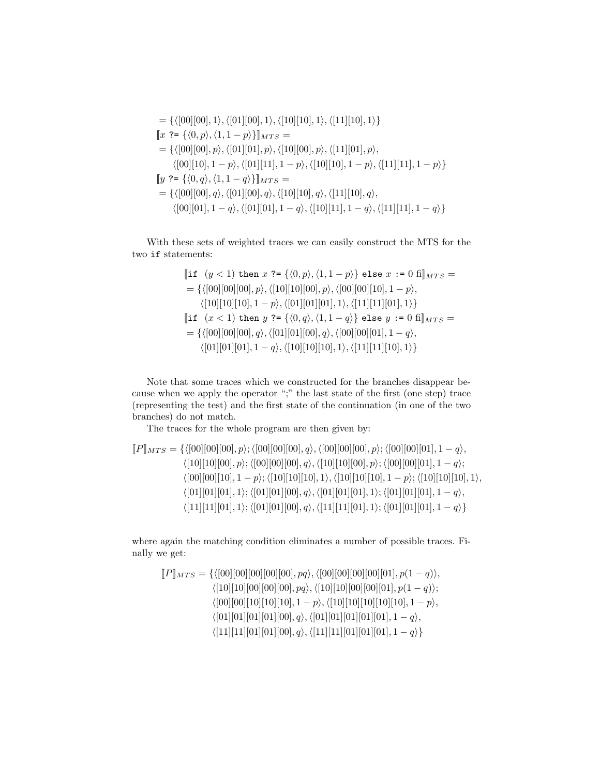$$
= \{ \langle [00][00], 1 \rangle, \langle [01][00], 1 \rangle, \langle [10][10], 1 \rangle, \langle [11][10], 1 \rangle \} \n[x ?= \{ \langle 0, p \rangle, \langle 1, 1-p \rangle \} ]\n_{MTS} = \n= \{ \langle [00][00], p \rangle, \langle [01][01], p \rangle, \langle [10][00], p \rangle, \langle [11][01], p \rangle, \n \langle [00][10], 1-p \rangle, \langle [01][11], 1-p \rangle, \langle [10][10], 1-p \rangle, \langle [11][11], 1-p \rangle \} \n[y ?= \{ \langle 0, q \rangle, \langle 1, 1-q \rangle \} ]\n_{MTS} = \n= \{ \langle [00][00], q \rangle, \langle [01][00], q \rangle, \langle [10][10], q \rangle, \langle [11][10], q \rangle, \n \langle [00][01], 1-q \rangle, \langle [01][01], 1-q \rangle, \langle [10][11], 1-q \rangle, \langle [11][11], 1-q \rangle \} \}
$$

With these sets of weighted traces we can easily construct the MTS for the two if statements:

$$
\begin{aligned}\n\left[\text{if } (y < 1) \text{ then } x \right] &? = \{ \langle 0, p \rangle, \langle 1, 1 - p \rangle \} \text{ else } x := 0 \text{ fil}_{MTS} = \\
&= \{ \langle [00][00][00], p \rangle, \langle [10][10][00], p \rangle, \langle [00][00][10], 1 - p \rangle, \\
& \langle [10][10][10], 1 - p \rangle, \langle [01][01][01], 1 \rangle, \langle [11][11][01], 1 \rangle \} \\
\left[\text{if } (x < 1) \text{ then } y \right] &? = \{ \langle 0, q \rangle, \langle 1, 1 - q \rangle \} \text{ else } y := 0 \text{ fil}_{MTS} = \\
&= \{ \langle [00][00][00], q \rangle, \langle [01][01][00], q \rangle, \langle [00][00][01], 1 - q \rangle, \\
& \langle [01][01][01], 1 - q \rangle, \langle [10][10][10], 1 \rangle, \langle [11][11][10], 1 \rangle \} \n\end{aligned}
$$

Note that some traces which we constructed for the branches disappear because when we apply the operator ";" the last state of the first (one step) trace (representing the test) and the first state of the continuation (in one of the two branches) do not match.

The traces for the whole program are then given by:

$$
[\![P]\!]_{MTS} = \{ \langle [00][00][00], p \rangle; \langle [00][00][00], q \rangle, \langle [00][00][00], p \rangle; \langle [00][00][01], 1 - q \rangle, \langle [10][10][00], p \rangle; \langle [00][00][00], q \rangle, \langle [10][10][00], p \rangle; \langle [00][00][01], 1 - q \rangle; \langle [00][00][10], 1 - p \rangle; \langle [10][10][10], 1 \rangle, \langle [10][10][10], 1 \rangle; \langle [01][01][00], q \rangle, \langle [01][01][01], 1 \rangle; \langle [01][01][01], 1 - q \rangle, \langle [11][11][01], 1 \rangle; \langle [01][01][00], q \rangle, \langle [11][11][01], 1 \rangle; \langle [01][01][01], 1 - q \rangle \}
$$

where again the matching condition eliminates a number of possible traces. Finally we get:

$$
[\![P]\!]_{MTS} = \{ \langle [00][00][00][00][00], pq \rangle, \langle [00][00][00][00][01], p(1-q) \rangle, \\ \langle [10][10][00][00][00], pq \rangle, \langle [10][10][00][00][01], p(1-q) \rangle; \\ \langle [00][00][10][10][10], 1-p \rangle, \langle [10][10][10][10], 1-p \rangle, \\ \langle [01][01][01][01][00], q \rangle, \langle [01][01][01][01], 1-q \rangle, \\ \langle [11][11][01][01][00], q \rangle, \langle [11][11][01][01], 1-q \rangle \}
$$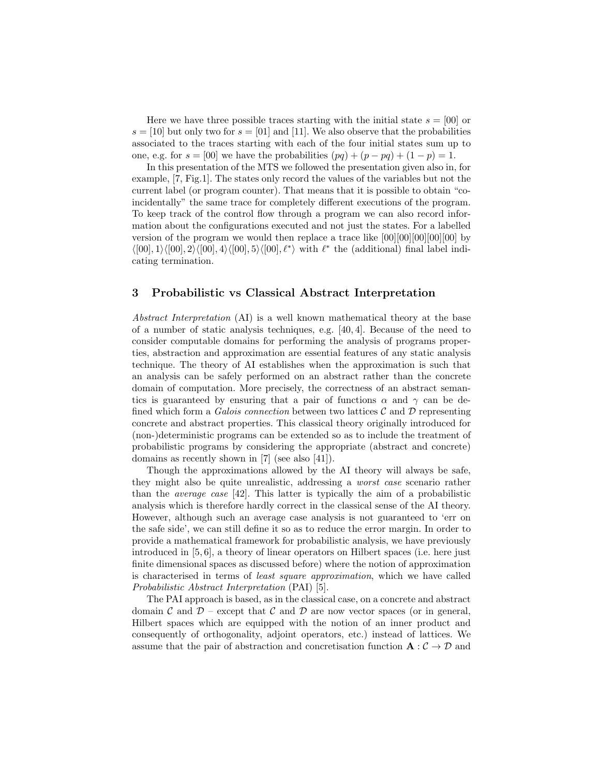Here we have three possible traces starting with the initial state  $s = |00|$  or  $s = [10]$  but only two for  $s = [01]$  and [11]. We also observe that the probabilities associated to the traces starting with each of the four initial states sum up to one, e.g. for  $s = [00]$  we have the probabilities  $(pq) + (p - pq) + (1 - p) = 1$ .

In this presentation of the MTS we followed the presentation given also in, for example, [7, Fig.1]. The states only record the values of the variables but not the current label (or program counter). That means that it is possible to obtain "coincidentally" the same trace for completely different executions of the program. To keep track of the control flow through a program we can also record information about the configurations executed and not just the states. For a labelled version of the program we would then replace a trace like  $[00][00][00][00]$  by  $\langle [00], 1 \rangle \langle [00], 2 \rangle \langle [00], 4 \rangle \langle [00], 5 \rangle \langle [00], \ell^* \rangle$  with  $\ell^*$  the (additional) final label indicating termination.

### 3 Probabilistic vs Classical Abstract Interpretation

Abstract Interpretation (AI) is a well known mathematical theory at the base of a number of static analysis techniques, e.g. [40, 4]. Because of the need to consider computable domains for performing the analysis of programs properties, abstraction and approximation are essential features of any static analysis technique. The theory of AI establishes when the approximation is such that an analysis can be safely performed on an abstract rather than the concrete domain of computation. More precisely, the correctness of an abstract semantics is guaranteed by ensuring that a pair of functions  $\alpha$  and  $\gamma$  can be defined which form a Galois connection between two lattices  $\mathcal C$  and  $\mathcal D$  representing concrete and abstract properties. This classical theory originally introduced for (non-)deterministic programs can be extended so as to include the treatment of probabilistic programs by considering the appropriate (abstract and concrete) domains as recently shown in [7] (see also [41]).

Though the approximations allowed by the AI theory will always be safe, they might also be quite unrealistic, addressing a worst case scenario rather than the average case [42]. This latter is typically the aim of a probabilistic analysis which is therefore hardly correct in the classical sense of the AI theory. However, although such an average case analysis is not guaranteed to 'err on the safe side', we can still define it so as to reduce the error margin. In order to provide a mathematical framework for probabilistic analysis, we have previously introduced in [5, 6], a theory of linear operators on Hilbert spaces (i.e. here just finite dimensional spaces as discussed before) where the notion of approximation is characterised in terms of least square approximation, which we have called Probabilistic Abstract Interpretation (PAI) [5].

The PAI approach is based, as in the classical case, on a concrete and abstract domain C and  $\mathcal{D}$  – except that C and D are now vector spaces (or in general, Hilbert spaces which are equipped with the notion of an inner product and consequently of orthogonality, adjoint operators, etc.) instead of lattices. We assume that the pair of abstraction and concretisation function  $\mathbf{A}: \mathcal{C} \to \mathcal{D}$  and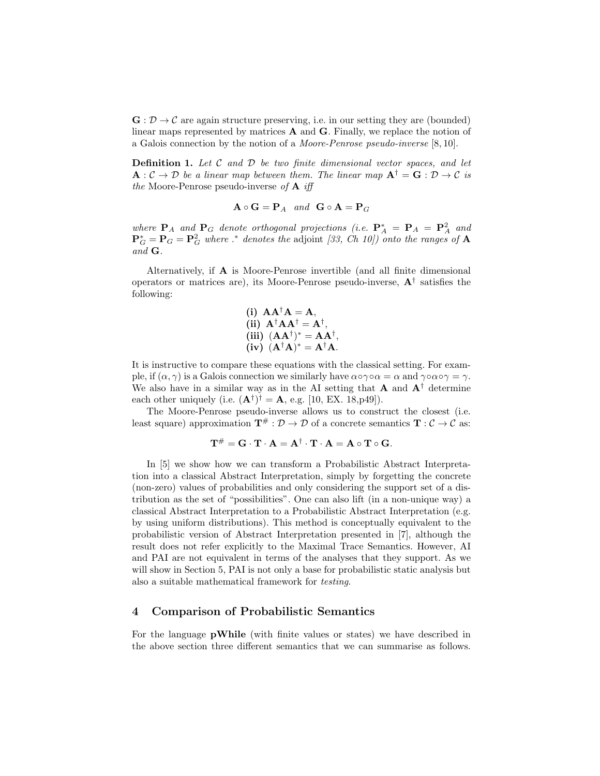$\mathbf{G} : \mathcal{D} \to \mathcal{C}$  are again structure preserving, i.e. in our setting they are (bounded) linear maps represented by matrices  $A$  and  $G$ . Finally, we replace the notion of a Galois connection by the notion of a Moore-Penrose pseudo-inverse [8, 10].

**Definition 1.** Let  $C$  and  $D$  be two finite dimensional vector spaces, and let  $\mathbf{A}: \mathcal{C} \to \mathcal{D}$  be a linear map between them. The linear map  $\mathbf{A}^{\dagger} = \mathbf{G}: \mathcal{D} \to \mathcal{C}$  is the Moore-Penrose pseudo-inverse of  $A$  iff

$$
\mathbf{A} \circ \mathbf{G} = \mathbf{P}_A \quad and \quad \mathbf{G} \circ \mathbf{A} = \mathbf{P}_G
$$

where  $P_A$  and  $P_G$  denote orthogonal projections (i.e.  $P_A^* = P_A = P_A^2$  and  ${\bf P}_G^* = {\bf P}_G = {\bf P}_G^2$  where .\* denotes the adjoint [33, Ch 10]) onto the ranges of  ${\bf A}$ and G.

Alternatively, if A is Moore-Penrose invertible (and all finite dimensional operators or matrices are), its Moore-Penrose pseudo-inverse,  $A^{\dagger}$  satisfies the following:

(i) 
$$
AA^{\dagger}A = A
$$
, \n(ii)  $A^{\dagger}AA^{\dagger} = A^{\dagger}$ , \n(iii)  $(AA^{\dagger})^* = AA^{\dagger}$ , \n(iv)  $(A^{\dagger}A)^* = A^{\dagger}A$ .

It is instructive to compare these equations with the classical setting. For example, if  $(\alpha, \gamma)$  is a Galois connection we similarly have  $\alpha \circ \gamma \circ \alpha = \alpha$  and  $\gamma \circ \alpha \circ \gamma = \gamma$ . We also have in a similar way as in the AI setting that **A** and  $A^{\dagger}$  determine each other uniquely (i.e.  $(\mathbf{A}^{\dagger})^{\dagger} = \mathbf{A}$ , e.g. [10, EX. 18, p49]).

The Moore-Penrose pseudo-inverse allows us to construct the closest (i.e. least square) approximation  $\mathbf{T}^{\#} : \mathcal{D} \to \mathcal{D}$  of a concrete semantics  $\mathbf{T} : \mathcal{C} \to \mathcal{C}$  as:

$$
\mathbf{T}^{\#} = \mathbf{G} \cdot \mathbf{T} \cdot \mathbf{A} = \mathbf{A}^{\dagger} \cdot \mathbf{T} \cdot \mathbf{A} = \mathbf{A} \circ \mathbf{T} \circ \mathbf{G}.
$$

In [5] we show how we can transform a Probabilistic Abstract Interpretation into a classical Abstract Interpretation, simply by forgetting the concrete (non-zero) values of probabilities and only considering the support set of a distribution as the set of "possibilities". One can also lift (in a non-unique way) a classical Abstract Interpretation to a Probabilistic Abstract Interpretation (e.g. by using uniform distributions). This method is conceptually equivalent to the probabilistic version of Abstract Interpretation presented in [7], although the result does not refer explicitly to the Maximal Trace Semantics. However, AI and PAI are not equivalent in terms of the analyses that they support. As we will show in Section 5, PAI is not only a base for probabilistic static analysis but also a suitable mathematical framework for testing.

## 4 Comparison of Probabilistic Semantics

For the language pWhile (with finite values or states) we have described in the above section three different semantics that we can summarise as follows.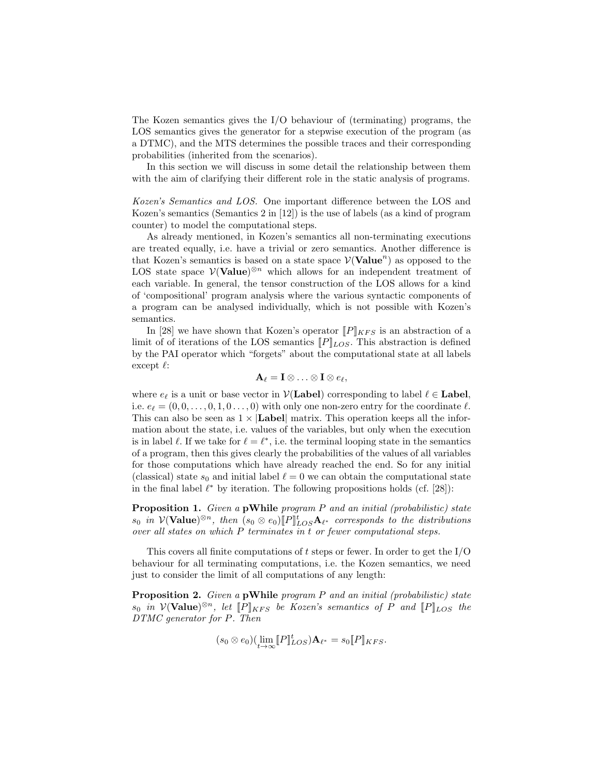The Kozen semantics gives the I/O behaviour of (terminating) programs, the LOS semantics gives the generator for a stepwise execution of the program (as a DTMC), and the MTS determines the possible traces and their corresponding probabilities (inherited from the scenarios).

In this section we will discuss in some detail the relationship between them with the aim of clarifying their different role in the static analysis of programs.

Kozen's Semantics and LOS. One important difference between the LOS and Kozen's semantics (Semantics 2 in [12]) is the use of labels (as a kind of program counter) to model the computational steps.

As already mentioned, in Kozen's semantics all non-terminating executions are treated equally, i.e. have a trivial or zero semantics. Another difference is that Kozen's semantics is based on a state space  $\mathcal{V}(\mathbf{Value}^n)$  as opposed to the LOS state space  $V(\text{Value})^{\otimes n}$  which allows for an independent treatment of each variable. In general, the tensor construction of the LOS allows for a kind of 'compositional' program analysis where the various syntactic components of a program can be analysed individually, which is not possible with Kozen's semantics.

In [28] we have shown that Kozen's operator  $[\![P]\!]_{KFS}$  is an abstraction of a limit of of iterations of the LOS semantics  $[P]_{LOS}$ . This abstraction is defined by the PAI operator which "forgets" about the computational state at all labels except  $\ell$ :

$$
\mathbf{A}_{\ell} = \mathbf{I} \otimes \ldots \otimes \mathbf{I} \otimes e_{\ell},
$$

where  $e_{\ell}$  is a unit or base vector in  $\mathcal{V}(\mathbf{Label})$  corresponding to label  $\ell \in \mathbf{Label}$ , i.e.  $e_{\ell} = (0, 0, \ldots, 0, 1, 0 \ldots, 0)$  with only one non-zero entry for the coordinate  $\ell$ . This can also be seen as  $1 \times |$ **Label** matrix. This operation keeps all the information about the state, i.e. values of the variables, but only when the execution is in label  $\ell$ . If we take for  $\ell = \ell^*$ , i.e. the terminal looping state in the semantics of a program, then this gives clearly the probabilities of the values of all variables for those computations which have already reached the end. So for any initial (classical) state  $s_0$  and initial label  $\ell = 0$  we can obtain the computational state in the final label  $\ell^*$  by iteration. The following propositions holds (cf. [28]):

Proposition 1. Given a pWhile program P and an initial (probabilistic) state  $s_0$  in  $\mathcal{V}(\textbf{Value})^{\otimes n}$ , then  $(s_0 \otimes e_0)[P]_{LOS}^t \mathbf{A}_{\ell^*}$  corresponds to the distributions over all states on which P terminates in t or fewer computational steps.

This covers all finite computations of t steps or fewer. In order to get the  $I/O$ behaviour for all terminating computations, i.e. the Kozen semantics, we need just to consider the limit of all computations of any length:

Proposition 2. Given a pWhile program P and an initial (probabilistic) state  $s_0$  in  $\mathcal{V}(\textbf{Value})^{\otimes n}$ , let  $[\![P]\!]_{KFS}$  be Kozen's semantics of P and  $[\![P]\!]_{LOS}$  the DTMC generator for P. Then

$$
(s_0 \otimes e_0)(\lim_{t \to \infty} [P]^t_{LOS}) \mathbf{A}_{\ell^*} = s_0 [P]_{KFS}.
$$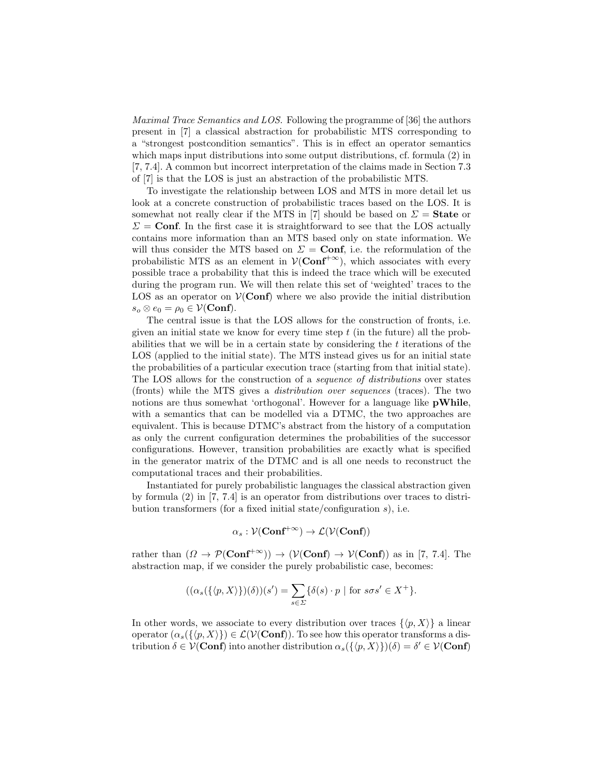Maximal Trace Semantics and LOS. Following the programme of [36] the authors present in [7] a classical abstraction for probabilistic MTS corresponding to a "strongest postcondition semantics". This is in effect an operator semantics which maps input distributions into some output distributions, cf. formula  $(2)$  in [7, 7.4]. A common but incorrect interpretation of the claims made in Section 7.3 of [7] is that the LOS is just an abstraction of the probabilistic MTS.

To investigate the relationship between LOS and MTS in more detail let us look at a concrete construction of probabilistic traces based on the LOS. It is somewhat not really clear if the MTS in [7] should be based on  $\Sigma =$  State or  $\Sigma = \text{Conf}$ . In the first case it is straightforward to see that the LOS actually contains more information than an MTS based only on state information. We will thus consider the MTS based on  $\Sigma = \text{Conf}$ , i.e. the reformulation of the probabilistic MTS as an element in  $\mathcal{V}(Conf^{+\infty})$ , which associates with every possible trace a probability that this is indeed the trace which will be executed during the program run. We will then relate this set of 'weighted' traces to the LOS as an operator on  $V(\text{Conf})$  where we also provide the initial distribution  $s_o \otimes e_0 = \rho_0 \in \mathcal{V}(\textbf{Conf}).$ 

The central issue is that the LOS allows for the construction of fronts, i.e. given an initial state we know for every time step  $t$  (in the future) all the probabilities that we will be in a certain state by considering the  $t$  iterations of the LOS (applied to the initial state). The MTS instead gives us for an initial state the probabilities of a particular execution trace (starting from that initial state). The LOS allows for the construction of a sequence of distributions over states (fronts) while the MTS gives a distribution over sequences (traces). The two notions are thus somewhat 'orthogonal'. However for a language like **pWhile**, with a semantics that can be modelled via a DTMC, the two approaches are equivalent. This is because DTMC's abstract from the history of a computation as only the current configuration determines the probabilities of the successor configurations. However, transition probabilities are exactly what is specified in the generator matrix of the DTMC and is all one needs to reconstruct the computational traces and their probabilities.

Instantiated for purely probabilistic languages the classical abstraction given by formula (2) in [7, 7.4] is an operator from distributions over traces to distribution transformers (for a fixed initial state/configuration  $s$ ), i.e.

$$
\alpha_s: \mathcal{V}(\mathbf{Conf}^{+\infty}) \to \mathcal{L}(\mathcal{V}(\mathbf{Conf}))
$$

rather than  $(\Omega \to \mathcal{P}(\text{Conf}^{\dagger \infty})) \to (\mathcal{V}(\text{Conf}) \to \mathcal{V}(\text{Conf}))$  as in [7, 7.4]. The abstraction map, if we consider the purely probabilistic case, becomes:

$$
((\alpha_s(\{\langle p,X\rangle\})(\delta))(s') = \sum_{s\in\Sigma} \{\delta(s) \cdot p \mid \text{for } s\sigma s' \in X^+\}.
$$

In other words, we associate to every distribution over traces  $\{\langle p, X \rangle\}$  a linear operator  $(\alpha_s({\langle p,X\rangle})\in \mathcal{L}(\mathcal{V}(Conf)).$  To see how this operator transforms a distribution  $\delta \in \mathcal{V}(\mathbf{Conf})$  into another distribution  $\alpha_s(\{\langle p, X \rangle\})(\delta) = \delta' \in \mathcal{V}(\mathbf{Conf})$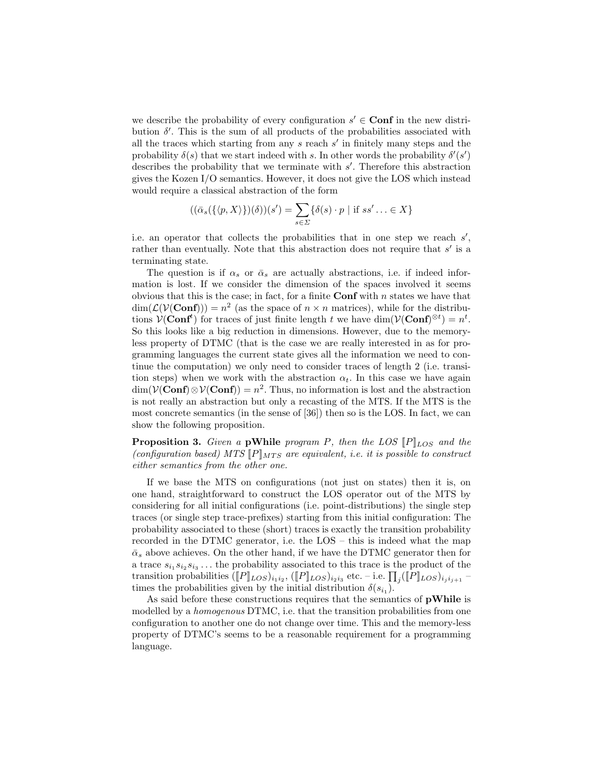we describe the probability of every configuration  $s' \in \text{Conf}$  in the new distribution  $\delta'$ . This is the sum of all products of the probabilities associated with all the traces which starting from any  $s$  reach  $s'$  in finitely many steps and the probability  $\delta(s)$  that we start indeed with s. In other words the probability  $\delta'(s')$ describes the probability that we terminate with  $s'$ . Therefore this abstraction gives the Kozen I/O semantics. However, it does not give the LOS which instead would require a classical abstraction of the form

$$
((\bar{\alpha}_s(\{\langle p,X\rangle\})(\delta))(s') = \sum_{s \in \Sigma} \{\delta(s) \cdot p \mid \text{if } ss' \ldots \in X\}
$$

i.e. an operator that collects the probabilities that in one step we reach  $s'$ , rather than eventually. Note that this abstraction does not require that  $s'$  is a terminating state.

The question is if  $\alpha_s$  or  $\bar{\alpha}_s$  are actually abstractions, i.e. if indeed information is lost. If we consider the dimension of the spaces involved it seems obvious that this is the case; in fact, for a finite  $\text{Conf}$  with n states we have that  $\dim(\mathcal{L}(V(\mathbf{Conf}))) = n^2$  (as the space of  $n \times n$  matrices), while for the distributions  $\mathcal{V}(\mathbf{Conf}^t)$  for traces of just finite length t we have  $\dim(\mathcal{V}(\mathbf{Conf})^{\otimes t}) = n^t$ . So this looks like a big reduction in dimensions. However, due to the memoryless property of DTMC (that is the case we are really interested in as for programming languages the current state gives all the information we need to continue the computation) we only need to consider traces of length 2 (i.e. transition steps) when we work with the abstraction  $\alpha_t$ . In this case we have again  $\dim(V(\text{Conf})\otimes V(\text{Conf}))=n^2$ . Thus, no information is lost and the abstraction is not really an abstraction but only a recasting of the MTS. If the MTS is the most concrete semantics (in the sense of [36]) then so is the LOS. In fact, we can show the following proposition.

**Proposition 3.** Given a pWhile program P, then the LOS  $[P]_{LOS}$  and the (configuration based) MTS  $[P]_{MTS}$  are equivalent, i.e. it is possible to construct either semantics from the other one.

If we base the MTS on configurations (not just on states) then it is, on one hand, straightforward to construct the LOS operator out of the MTS by considering for all initial configurations (i.e. point-distributions) the single step traces (or single step trace-prefixes) starting from this initial configuration: The probability associated to these (short) traces is exactly the transition probability recorded in the DTMC generator, i.e. the LOS – this is indeed what the map  $\bar{\alpha}_s$  above achieves. On the other hand, if we have the DTMC generator then for a trace  $s_{i_1} s_{i_2} s_{i_3} \dots$  the probability associated to this trace is the product of the transition probabilities  $([P]_{LOS})_{i_1i_2}, ([P]_{LOS})_{i_2i_3}$  etc. – i.e.  $\prod_j ([P]_{LOS})_{i_ji_{j+1}}$  – times the probabilities given by the initial distribution  $\delta(s_{i_1})$ .

As said before these constructions requires that the semantics of **pWhile** is modelled by a *homogenous* DTMC, i.e. that the transition probabilities from one configuration to another one do not change over time. This and the memory-less property of DTMC's seems to be a reasonable requirement for a programming language.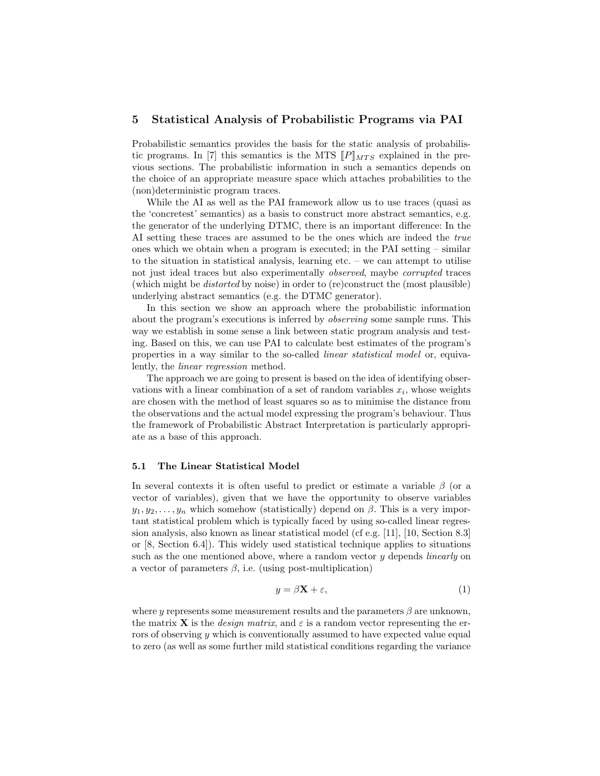### 5 Statistical Analysis of Probabilistic Programs via PAI

Probabilistic semantics provides the basis for the static analysis of probabilistic programs. In [7] this semantics is the MTS  $[P]_{MTS}$  explained in the previous sections. The probabilistic information in such a semantics depends on the choice of an appropriate measure space which attaches probabilities to the (non)deterministic program traces.

While the AI as well as the PAI framework allow us to use traces (quasi as the 'concretest' semantics) as a basis to construct more abstract semantics, e.g. the generator of the underlying DTMC, there is an important difference: In the AI setting these traces are assumed to be the ones which are indeed the true ones which we obtain when a program is executed; in the PAI setting – similar to the situation in statistical analysis, learning etc. – we can attempt to utilise not just ideal traces but also experimentally observed, maybe corrupted traces (which might be distorted by noise) in order to (re)construct the (most plausible) underlying abstract semantics (e.g. the DTMC generator).

In this section we show an approach where the probabilistic information about the program's executions is inferred by observing some sample runs. This way we establish in some sense a link between static program analysis and testing. Based on this, we can use PAI to calculate best estimates of the program's properties in a way similar to the so-called linear statistical model or, equivalently, the linear regression method.

The approach we are going to present is based on the idea of identifying observations with a linear combination of a set of random variables  $x_i$ , whose weights are chosen with the method of least squares so as to minimise the distance from the observations and the actual model expressing the program's behaviour. Thus the framework of Probabilistic Abstract Interpretation is particularly appropriate as a base of this approach.

#### 5.1 The Linear Statistical Model

In several contexts it is often useful to predict or estimate a variable  $\beta$  (or a vector of variables), given that we have the opportunity to observe variables  $y_1, y_2, \ldots, y_n$  which somehow (statistically) depend on  $\beta$ . This is a very important statistical problem which is typically faced by using so-called linear regression analysis, also known as linear statistical model (cf e.g. [11], [10, Section 8.3] or [8, Section 6.4]). This widely used statistical technique applies to situations such as the one mentioned above, where a random vector  $y$  depends *linearly* on a vector of parameters  $\beta$ , i.e. (using post-multiplication)

$$
y = \beta \mathbf{X} + \varepsilon,\tag{1}
$$

where y represents some measurement results and the parameters  $\beta$  are unknown, the matrix **X** is the *design matrix*, and  $\varepsilon$  is a random vector representing the errors of observing y which is conventionally assumed to have expected value equal to zero (as well as some further mild statistical conditions regarding the variance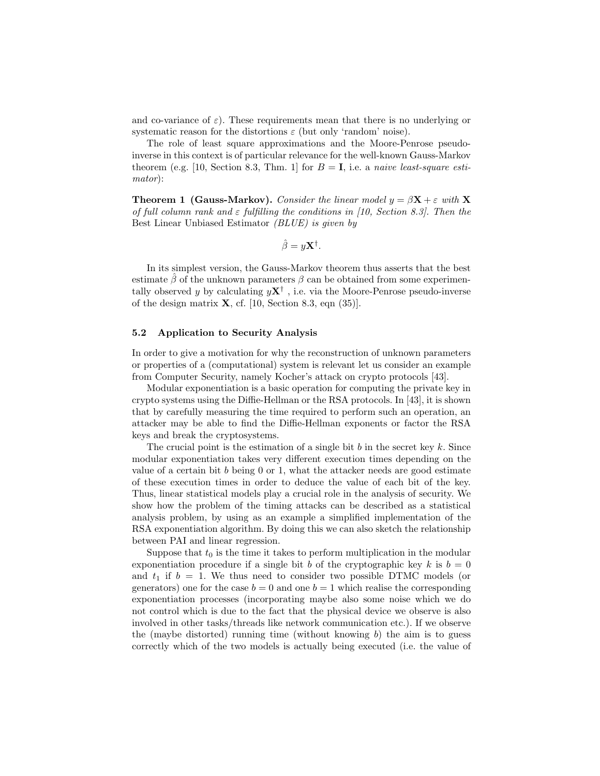and co-variance of  $\varepsilon$ ). These requirements mean that there is no underlying or systematic reason for the distortions  $\varepsilon$  (but only 'random' noise).

The role of least square approximations and the Moore-Penrose pseudoinverse in this context is of particular relevance for the well-known Gauss-Markov theorem (e.g. [10, Section 8.3, Thm. 1] for  $B = I$ , i.e. a naive least-square estimator):

**Theorem 1 (Gauss-Markov).** Consider the linear model  $y = \beta \mathbf{X} + \varepsilon$  with **X** of full column rank and  $\varepsilon$  fulfilling the conditions in [10, Section 8.3]. Then the Best Linear Unbiased Estimator (BLUE) is given by

$$
\hat{\beta} = y\mathbf{X}^{\dagger}.
$$

In its simplest version, the Gauss-Markov theorem thus asserts that the best estimate  $\hat{\beta}$  of the unknown parameters  $\beta$  can be obtained from some experimentally observed y by calculating  $y\mathbf{X}^{\dagger}$ , i.e. via the Moore-Penrose pseudo-inverse of the design matrix  $X$ , cf. [10, Section 8.3, eqn (35)].

#### 5.2 Application to Security Analysis

In order to give a motivation for why the reconstruction of unknown parameters or properties of a (computational) system is relevant let us consider an example from Computer Security, namely Kocher's attack on crypto protocols [43].

Modular exponentiation is a basic operation for computing the private key in crypto systems using the Diffie-Hellman or the RSA protocols. In [43], it is shown that by carefully measuring the time required to perform such an operation, an attacker may be able to find the Diffie-Hellman exponents or factor the RSA keys and break the cryptosystems.

The crucial point is the estimation of a single bit b in the secret key k. Since modular exponentiation takes very different execution times depending on the value of a certain bit  $b$  being 0 or 1, what the attacker needs are good estimate of these execution times in order to deduce the value of each bit of the key. Thus, linear statistical models play a crucial role in the analysis of security. We show how the problem of the timing attacks can be described as a statistical analysis problem, by using as an example a simplified implementation of the RSA exponentiation algorithm. By doing this we can also sketch the relationship between PAI and linear regression.

Suppose that  $t_0$  is the time it takes to perform multiplication in the modular exponentiation procedure if a single bit b of the cryptographic key k is  $b = 0$ and  $t_1$  if  $b = 1$ . We thus need to consider two possible DTMC models (or generators) one for the case  $b = 0$  and one  $b = 1$  which realise the corresponding exponentiation processes (incorporating maybe also some noise which we do not control which is due to the fact that the physical device we observe is also involved in other tasks/threads like network communication etc.). If we observe the (maybe distorted) running time (without knowing  $b$ ) the aim is to guess correctly which of the two models is actually being executed (i.e. the value of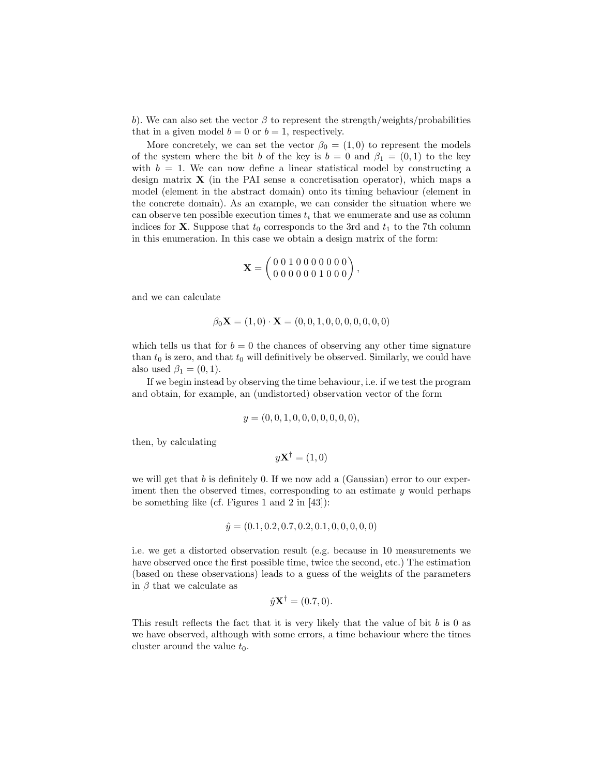b). We can also set the vector  $\beta$  to represent the strength/weights/probabilities that in a given model  $b = 0$  or  $b = 1$ , respectively.

More concretely, we can set the vector  $\beta_0 = (1,0)$  to represent the models of the system where the bit b of the key is  $b = 0$  and  $\beta_1 = (0,1)$  to the key with  $b = 1$ . We can now define a linear statistical model by constructing a design matrix  $\bf{X}$  (in the PAI sense a concretisation operator), which maps a model (element in the abstract domain) onto its timing behaviour (element in the concrete domain). As an example, we can consider the situation where we can observe ten possible execution times  $t_i$  that we enumerate and use as column indices for **X**. Suppose that  $t_0$  corresponds to the 3rd and  $t_1$  to the 7th column in this enumeration. In this case we obtain a design matrix of the form:

$$
\mathbf{X} = \left( \begin{smallmatrix} 0 & 0 & 1 & 0 & 0 & 0 & 0 & 0 & 0 \\ 0 & 0 & 0 & 0 & 0 & 0 & 1 & 0 & 0 \\ 0 & 0 & 0 & 0 & 0 & 1 & 0 & 0 & 0 \end{smallmatrix} \right),
$$

and we can calculate

$$
\beta_0 \mathbf{X} = (1,0) \cdot \mathbf{X} = (0,0,1,0,0,0,0,0,0,0)
$$

which tells us that for  $b = 0$  the chances of observing any other time signature than  $t_0$  is zero, and that  $t_0$  will definitively be observed. Similarly, we could have also used  $\beta_1 = (0, 1)$ .

If we begin instead by observing the time behaviour, i.e. if we test the program and obtain, for example, an (undistorted) observation vector of the form

$$
y = (0, 0, 1, 0, 0, 0, 0, 0, 0, 0),
$$

then, by calculating

 $y\mathbf{X}^{\dagger} = (1,0)$ 

we will get that  $b$  is definitely 0. If we now add a (Gaussian) error to our experiment then the observed times, corresponding to an estimate  $y$  would perhaps be something like (cf. Figures 1 and 2 in [43]):

$$
\hat{y} = (0.1, 0.2, 0.7, 0.2, 0.1, 0, 0, 0, 0, 0)
$$

i.e. we get a distorted observation result (e.g. because in 10 measurements we have observed once the first possible time, twice the second, etc.) The estimation (based on these observations) leads to a guess of the weights of the parameters in  $\beta$  that we calculate as

$$
\hat{y}\mathbf{X}^{\dagger} = (0.7, 0).
$$

This result reflects the fact that it is very likely that the value of bit  $b$  is 0 as we have observed, although with some errors, a time behaviour where the times cluster around the value  $t_0$ .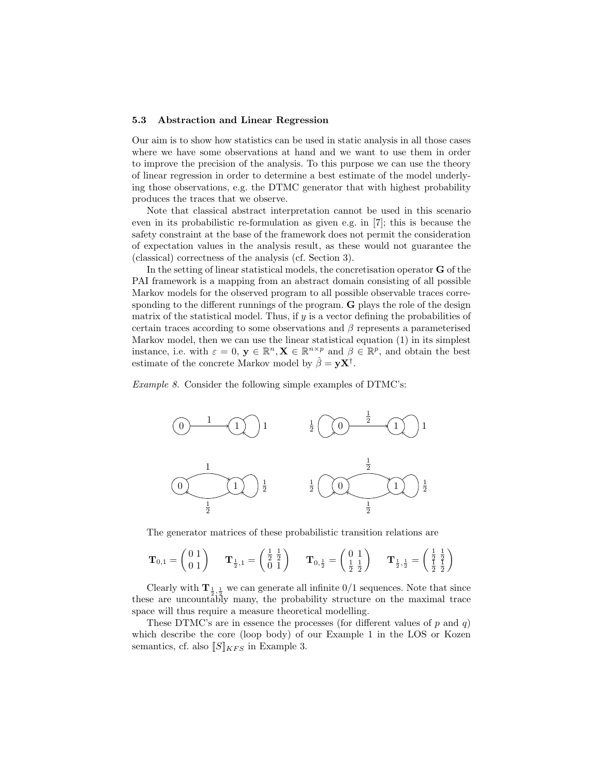#### 5.3 Abstraction and Linear Regression

Our aim is to show how statistics can be used in static analysis in all those cases where we have some observations at hand and we want to use them in order to improve the precision of the analysis. To this purpose we can use the theory of linear regression in order to determine a best estimate of the model underlying those observations, e.g. the DTMC generator that with highest probability produces the traces that we observe.

Note that classical abstract interpretation cannot be used in this scenario even in its probabilistic re-formulation as given e.g. in [7]; this is because the safety constraint at the base of the framework does not permit the consideration of expectation values in the analysis result, as these would not guarantee the (classical) correctness of the analysis (cf. Section 3).

In the setting of linear statistical models, the concretisation operator G of the PAI framework is a mapping from an abstract domain consisting of all possible Markov models for the observed program to all possible observable traces corresponding to the different runnings of the program. G plays the role of the design matrix of the statistical model. Thus, if  $y$  is a vector defining the probabilities of certain traces according to some observations and  $\beta$  represents a parameterised Markov model, then we can use the linear statistical equation (1) in its simplest instance, i.e. with  $\varepsilon = 0$ ,  $y \in \mathbb{R}^n$ ,  $X \in \mathbb{R}^{n \times p}$  and  $\beta \in \mathbb{R}^p$ , and obtain the best estimate of the concrete Markov model by  $\hat{\beta} = \mathbf{y} \mathbf{X}^{\dagger}$ .

Example 8. Consider the following simple examples of DTMC's:



The generator matrices of these probabilistic transition relations are

$$
\mathbf{T}_{0,1} = \begin{pmatrix} 0 & 1 \\ 0 & 1 \end{pmatrix} \quad \mathbf{T}_{\frac{1}{2},1} = \begin{pmatrix} \frac{1}{2} & \frac{1}{2} \\ 0 & 1 \end{pmatrix} \quad \mathbf{T}_{0,\frac{1}{2}} = \begin{pmatrix} 0 & 1 \\ \frac{1}{2} & \frac{1}{2} \end{pmatrix} \quad \mathbf{T}_{\frac{1}{2},\frac{1}{2}} = \begin{pmatrix} \frac{1}{2} & \frac{1}{2} \\ \frac{1}{2} & \frac{1}{2} \end{pmatrix}
$$

Clearly with  $\mathbf{T}_{\frac{1}{2},\frac{1}{2}}$  we can generate all infinite  $0/1$  sequences. Note that since these are uncountably many, the probability structure on the maximal trace space will thus require a measure theoretical modelling.

These DTMC's are in essence the processes (for different values of p and q) which describe the core (loop body) of our Example 1 in the LOS or Kozen semantics, cf. also  $\llbracket S \rrbracket_{KFS}$  in Example 3.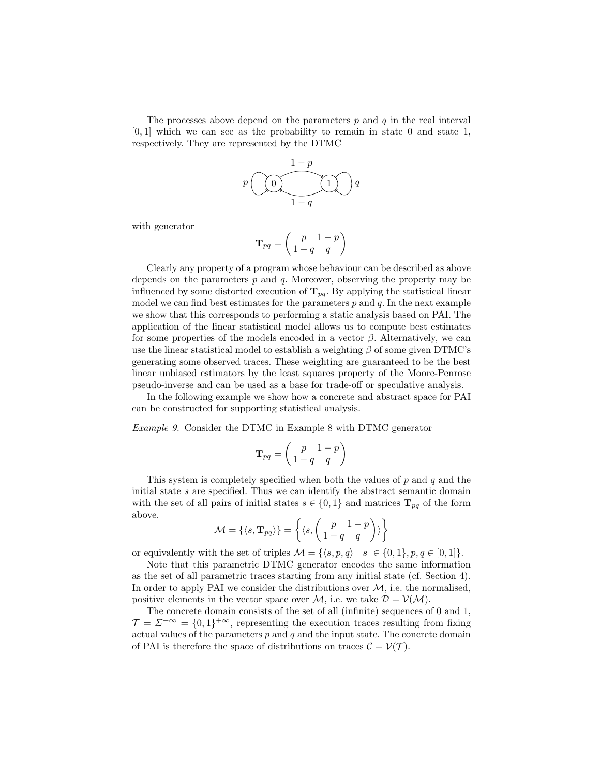The processes above depend on the parameters  $p$  and  $q$  in the real interval  $[0, 1]$  which we can see as the probability to remain in state 0 and state 1, respectively. They are represented by the DTMC

$$
p\left(\bigodot \left(\begin{array}{c}\n1-p \\
\hline\n1-q\n\end{array}\right)q
$$

with generator

$$
\mathbf{T}_{pq} = \left(\begin{array}{cc} p & 1-p \\ 1-q & q \end{array}\right)
$$

Clearly any property of a program whose behaviour can be described as above depends on the parameters  $p$  and  $q$ . Moreover, observing the property may be influenced by some distorted execution of  $T_{pq}$ . By applying the statistical linear model we can find best estimates for the parameters  $p$  and  $q$ . In the next example we show that this corresponds to performing a static analysis based on PAI. The application of the linear statistical model allows us to compute best estimates for some properties of the models encoded in a vector  $\beta$ . Alternatively, we can use the linear statistical model to establish a weighting  $\beta$  of some given DTMC's generating some observed traces. These weighting are guaranteed to be the best linear unbiased estimators by the least squares property of the Moore-Penrose pseudo-inverse and can be used as a base for trade-off or speculative analysis.

In the following example we show how a concrete and abstract space for PAI can be constructed for supporting statistical analysis.

Example 9. Consider the DTMC in Example 8 with DTMC generator

$$
\mathbf{T}_{pq} = \left(\begin{array}{cc} p & 1-p \\ 1-q & q \end{array}\right)
$$

This system is completely specified when both the values of  $p$  and  $q$  and the initial state s are specified. Thus we can identify the abstract semantic domain with the set of all pairs of initial states  $s \in \{0,1\}$  and matrices  $\mathbf{T}_{pq}$  of the form above.

$$
\mathcal{M} = \{ \langle s, \mathbf{T}_{pq} \rangle \} = \left\{ \langle s, \left( \begin{array}{cc} p & 1-p \\ 1-q & q \end{array} \right) \rangle \right\}
$$

or equivalently with the set of triples  $\mathcal{M} = \{ \langle s, p, q \rangle | s \in \{0, 1\}, p, q \in [0, 1] \}.$ 

Note that this parametric DTMC generator encodes the same information as the set of all parametric traces starting from any initial state (cf. Section 4). In order to apply PAI we consider the distributions over  $M$ , i.e. the normalised, positive elements in the vector space over M, i.e. we take  $\mathcal{D} = \mathcal{V}(\mathcal{M})$ .

The concrete domain consists of the set of all (infinite) sequences of 0 and 1,  $\mathcal{T} = \Sigma^{+\infty} = \{0,1\}^{+\infty}$ , representing the execution traces resulting from fixing actual values of the parameters  $p$  and  $q$  and the input state. The concrete domain of PAI is therefore the space of distributions on traces  $\mathcal{C} = \mathcal{V}(\mathcal{T})$ .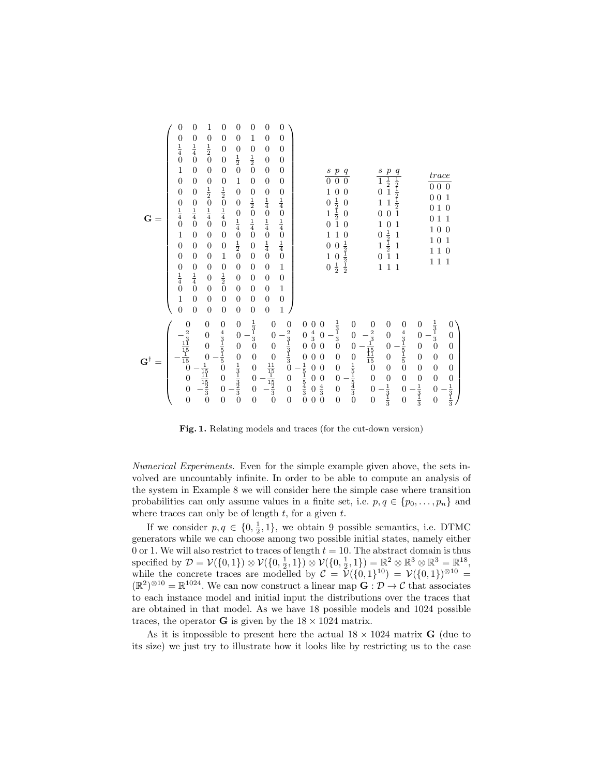| $G =$                            | $\overline{0}$<br>$\begin{smallmatrix} 0\\ \frac{1}{4}\\ 0 \end{smallmatrix}$<br>$\mathbf 1$<br>$\boldsymbol{0}$<br>$\boldsymbol{0}$<br>$\begin{array}{c} 0 \\ \frac{1}{4} \\ 0 \end{array}$<br>$\mathbf{1}$<br>$\boldsymbol{0}$<br>$\boldsymbol{0}$<br>$\begin{smallmatrix} 0\\ \frac{1}{4}\\ 0 \end{smallmatrix}$<br>$\mathbf 1$<br>$\overline{0}$ | $\boldsymbol{0}$<br>$\begin{matrix} 0 \\ \frac{1}{4} \\ 0 \end{matrix}$<br>$\boldsymbol{0}$<br>$\boldsymbol{0}$<br>$\boldsymbol{0}$<br>$\begin{smallmatrix} 0\\ \frac{1}{4}\\ 0 \end{smallmatrix}$<br>$\overline{0}$<br>$\overline{0}$<br>$\boldsymbol{0}$<br>$\begin{smallmatrix} 0\\ \frac{1}{4}\\ 0 \end{smallmatrix}$<br>$\boldsymbol{0}$<br>$\overline{0}$ | $\mathbf{1}$<br>$\boldsymbol{0}$<br>$\frac{1}{2}$ 0<br>$\boldsymbol{0}$<br>$01/24$<br>$01/44$<br>$\overline{0}$<br>$\boldsymbol{0}$<br>$\boldsymbol{0}$<br>$\boldsymbol{0}$<br>$\boldsymbol{0}$<br>$\overline{0}$<br>$\boldsymbol{0}$<br>$\overline{0}$ | $\overline{0}$<br>$\boldsymbol{0}$<br>$\boldsymbol{0}$<br>$\overline{0}$<br>$\overline{0}$<br>$01⁄2$<br>$01⁄4$<br>$01⁄4$<br>$\overline{0}$<br>$\boldsymbol{0}$<br>$\,1\,$<br>$\boldsymbol{0}$<br>$\frac{1}{2}$ <sub>0</sub><br>$\boldsymbol{0}$<br>$\overline{0}$ | $\boldsymbol{0}$<br>$\boldsymbol{0}$<br>$\begin{array}{c} 0 \\ \frac{1}{2} \\ 0 \end{array}$<br>$\,1$<br>$\overline{0}$<br>$\boldsymbol{0}$<br>$01/4$<br>$01/2$<br>$01/2$<br>$\overline{0}$<br>$\boldsymbol{0}$<br>$\overline{0}$<br>$\boldsymbol{0}$<br>$\boldsymbol{0}$ | $\boldsymbol{0}$<br>$\mathbf 1$<br>$\boldsymbol{0}$<br>$\frac{1}{2}$ 0<br>$\boldsymbol{0}$<br>$01/2401/44$<br>$\overline{0}$<br>$\overline{0}$<br>$\boldsymbol{0}$<br>$\boldsymbol{0}$<br>$\boldsymbol{0}$<br>$\boldsymbol{0}$<br>$\boldsymbol{0}$ | $\boldsymbol{0}$<br>$\boldsymbol{0}$<br>$\boldsymbol{0}$<br>$\boldsymbol{0}$<br>$\boldsymbol{0}$<br>$\boldsymbol{0}$<br>$\begin{matrix} 0 & 1 \\ \frac{1}{4} & 0 \\ 0 & \frac{1}{4} \\ 0 & 1 \\ \end{matrix}$<br>$\overline{0}$<br>$\boldsymbol{0}$<br>$\overline{0}$<br>$\boldsymbol{0}$<br>$\overline{0}$ | $\boldsymbol{0}$<br>$\boldsymbol{0}$<br>$\overline{0}$<br>$\boldsymbol{0}$<br>$\boldsymbol{0}$<br>$\boldsymbol{0}$<br>$01/4$<br>$01/4$<br>$01/4$<br>$01/4$<br>$\,1$<br>$\overline{0}$<br>$\,1$<br>$\boldsymbol{0}$<br>$\mathbf{1}$ |                                                                             |                                                                                                                                   | $\overline{\mathcal{S}}$<br>$\overline{0}$<br>1<br>$\begin{smallmatrix}0\\1\end{smallmatrix}$<br>$\overline{0}$<br>$\mathbf{1}$<br>$\boldsymbol{0}$<br>$\mathbf{1}$<br>$\overline{0}$ | $\frac{p}{0}$<br>$\frac{q}{0}$<br>$\boldsymbol{0}$<br>$\boldsymbol{0}$<br>$\frac{1}{2}$ $\frac{1}{2}$ $\frac{1}{1}$<br>$\boldsymbol{0}$<br>$\overline{0}$<br>$\theta$<br>$\mathbf{1}$<br>$\boldsymbol{0}$<br>$\frac{1}{2}$ $\frac{1}{2}$ $\frac{1}{2}$<br>$\overline{0}$<br>$\frac{0}{2}$ |                                                                                  |                                                                                                                              | $rac{s}{1}$<br>$\frac{p}{\frac{1}{2}}$<br>$\overline{0}$<br>$\mathbf{1}$<br>$\overline{1}$<br>$\overline{0}$<br>$\overline{0}$<br>$\mathbf{1}$<br>$\overline{0}$<br>$\frac{1}{2}$ $\frac{1}{2}$ $\frac{1}{1}$<br>$\overline{0}$<br>$\mathbf{1}$<br>$\overline{0}$<br>$\mathbf{1}$<br>$\mathbf{1}$ | $\frac{q_1}{1 \cdot 2}$ $\frac{1}{2}$ $\frac{1}{2}$ $\frac{1}{2}$<br>$\mathbf{1}$<br>$\mathbf 1$<br>$\,1\,$<br>$\mathbf{1}$<br>$\mathbf{1}$                          |                                                                                                                                | trace<br>$\overline{000}$<br>0 <sub>0</sub><br>0 <sub>1</sub><br>$\boldsymbol{0}$<br>$1\ 0$<br>$1\ 0$<br>$1\,1$<br>11                       | $\mathbf{1}$<br>$\overline{0}$<br>$\mathbf{1}$<br>$\overline{0}$<br>$\mathbf{1}$<br>$\overline{0}$<br>$\mathbf{1}$                                |
|----------------------------------|------------------------------------------------------------------------------------------------------------------------------------------------------------------------------------------------------------------------------------------------------------------------------------------------------------------------------------------------------|-----------------------------------------------------------------------------------------------------------------------------------------------------------------------------------------------------------------------------------------------------------------------------------------------------------------------------------------------------------------|---------------------------------------------------------------------------------------------------------------------------------------------------------------------------------------------------------------------------------------------------------|-------------------------------------------------------------------------------------------------------------------------------------------------------------------------------------------------------------------------------------------------------------------|---------------------------------------------------------------------------------------------------------------------------------------------------------------------------------------------------------------------------------------------------------------------------|----------------------------------------------------------------------------------------------------------------------------------------------------------------------------------------------------------------------------------------------------|-------------------------------------------------------------------------------------------------------------------------------------------------------------------------------------------------------------------------------------------------------------------------------------------------------------|------------------------------------------------------------------------------------------------------------------------------------------------------------------------------------------------------------------------------------|-----------------------------------------------------------------------------|-----------------------------------------------------------------------------------------------------------------------------------|---------------------------------------------------------------------------------------------------------------------------------------------------------------------------------------|-------------------------------------------------------------------------------------------------------------------------------------------------------------------------------------------------------------------------------------------------------------------------------------------|----------------------------------------------------------------------------------|------------------------------------------------------------------------------------------------------------------------------|---------------------------------------------------------------------------------------------------------------------------------------------------------------------------------------------------------------------------------------------------------------------------------------------------|----------------------------------------------------------------------------------------------------------------------------------------------------------------------|--------------------------------------------------------------------------------------------------------------------------------|---------------------------------------------------------------------------------------------------------------------------------------------|---------------------------------------------------------------------------------------------------------------------------------------------------|
| $\textbf{G}^\dagger$<br>$\equiv$ | $\begin{array}{c} 0 \\ -\frac{2}{3} \\ \frac{11}{15} \\ -\frac{1}{15} \\ 0 \\ 0 \\ 0 \\ 0 \\ \end{array}$                                                                                                                                                                                                                                            |                                                                                                                                                                                                                                                                                                                                                                 | $\begin{matrix} 0 & 0 \\ 0 & 0 \\ \frac{-1}{15} & -\frac{1}{15} \\ -\frac{1}{3} & 0 \end{matrix}$                                                                                                                                                       | $\begin{array}{c} 0 & \frac{4}{3} \\ \frac{1}{3} & \frac{1}{5} \\ 0 & 0 \\ 0 & 0 \\ \end{array}$                                                                                                                                                                  | $\begin{array}{c} 0 \\ 0 \\ 0 \\ 0 \\ \frac{1}{3} \\ \frac{1}{3} \\ \frac{1}{3} \\ \frac{1}{3} \\ 0 \end{array}$                                                                                                                                                          | $\frac{1}{3}$ $\frac{1}{3}$ $\frac{1}{3}$ $\frac{1}{3}$ $\frac{1}{9}$ $\frac{1}{9}$ $\frac{1}{9}$ $\frac{1}{9}$ $\frac{1}{9}$ $\frac{1}{9}$ $\frac{1}{9}$                                                                                          | $\boldsymbol{0}$<br>$\overline{0}$<br>$\overline{0}$<br>$\begin{array}{c} 0 \\ \frac{11}{15} \\ -\frac{1}{3} \\ 0 \end{array}$                                                                                                                                                                              | $0 \tfrac{2}{3} \tfrac{1}{3} \tfrac{1}{3} \tfrac{1}{3}$<br>$\begin{array}{c} 0 \\ 0 \\ 0 \end{array}$                                                                                                                              | $\boldsymbol{0}$<br>$\overline{0}$<br>$\overline{0}$<br>$01⁄5⁄1⁄5⁄4⁄3$<br>0 | $\boldsymbol{0}$<br>$\frac{4}{3}$ 0<br>$\overline{0}$<br>$\boldsymbol{0}$<br>$\boldsymbol{0}$<br>$\overline{0}$<br>$\overline{0}$ | $\boldsymbol{0}$<br>$\overline{0}$<br>$\overline{0}$<br>$\overline{0}$<br>$\boldsymbol{0}$<br>$\begin{array}{c} 0 \\ \frac{4}{3} \\ 0 \end{array}$                                    | $\frac{1}{3}$ $\frac{1}{3}$ $0$<br>$\overline{0}$<br>$\begin{array}{c} 0 \\ 0 \end{array}$<br>$\begin{matrix} 0 \\ 0 \end{matrix}$                                                                                                                                                        | $\boldsymbol{0}$<br>$\begin{array}{c} 0 \\ 0 \end{array}$<br>$01⁄51⁄54⁄3$<br>$0$ | $0$ $\frac{2}{3}$ $\frac{1}{15}$ $\frac{15}{15}$ $\frac{1}{15}$ $\frac{1}{15}$<br>$\begin{array}{c} 0 \\ 0 \\ 0 \end{array}$ | $\boldsymbol{0}$<br>$\begin{array}{c} 0 \\ 0 \\ 0 \end{array}$<br>$\boldsymbol{0}$<br>$0$ $\frac{1}{3}$ $\frac{1}{3}$                                                                                                                                                                             | $\boldsymbol{0}$<br>$\frac{4}{3}$ $\frac{1}{5}$ $\frac{5}{5}$ $\frac{1}{5}$ $\frac{1}{5}$ $\frac{1}{5}$<br>$\boldsymbol{0}$<br>$\begin{array}{c} 0 \\ 0 \end{array}$ | $\boldsymbol{0}$<br>$\begin{array}{c} 0 \\ 0 \end{array}$<br>$\overline{0}$<br>$\overline{0}$<br>$0 \\frac{1}{3} \\frac{1}{3}$ | $\frac{1}{3}$ $\frac{1}{3}$ $\frac{1}{0}$<br>$\overline{0}$<br>$\boldsymbol{0}$<br>$\boldsymbol{0}$<br>$\begin{matrix} 0 \\ 0 \end{matrix}$ | 0<br>$\boldsymbol{0}$<br>$\overline{0}$<br>$\boldsymbol{0}$<br>$\boldsymbol{0}$<br>$\begin{array}{c} 0 \\ \frac{1}{3} \\ \frac{1}{3} \end{array}$ |

Fig. 1. Relating models and traces (for the cut-down version)

Numerical Experiments. Even for the simple example given above, the sets involved are uncountably infinite. In order to be able to compute an analysis of the system in Example 8 we will consider here the simple case where transition probabilities can only assume values in a finite set, i.e.  $p, q \in \{p_0, \ldots, p_n\}$  and where traces can only be of length  $t$ , for a given  $t$ .

If we consider  $p, q \in \{0, \frac{1}{2}, 1\}$ , we obtain 9 possible semantics, i.e. DTMC generators while we can choose among two possible initial states, namely either 0 or 1. We will also restrict to traces of length  $t = 10$ . The abstract domain is thus specified by  $\mathcal{D} = \mathcal{V}(\{0,1\}) \otimes \mathcal{V}(\{0,\frac{1}{2},1\}) \otimes \mathcal{V}(\{0,\frac{1}{2},1\}) = \mathbb{R}^2 \otimes \mathbb{R}^3 \otimes \mathbb{R}^3 = \mathbb{R}^{18}$ , while the concrete traces are modelled by  $\mathcal{C} = \tilde{\mathcal{V}}(\{0,1\}^{10}) = \mathcal{V}(\{0,1\})^{\otimes 10} =$  $(\mathbb{R}^2)^{\otimes 10} = \mathbb{R}^{1024}$ . We can now construct a linear map  $\mathbf{G} : \mathcal{D} \to \mathcal{C}$  that associates to each instance model and initial input the distributions over the traces that are obtained in that model. As we have 18 possible models and 1024 possible traces, the operator **G** is given by the  $18 \times 1024$  matrix.

As it is impossible to present here the actual  $18 \times 1024$  matrix **G** (due to its size) we just try to illustrate how it looks like by restricting us to the case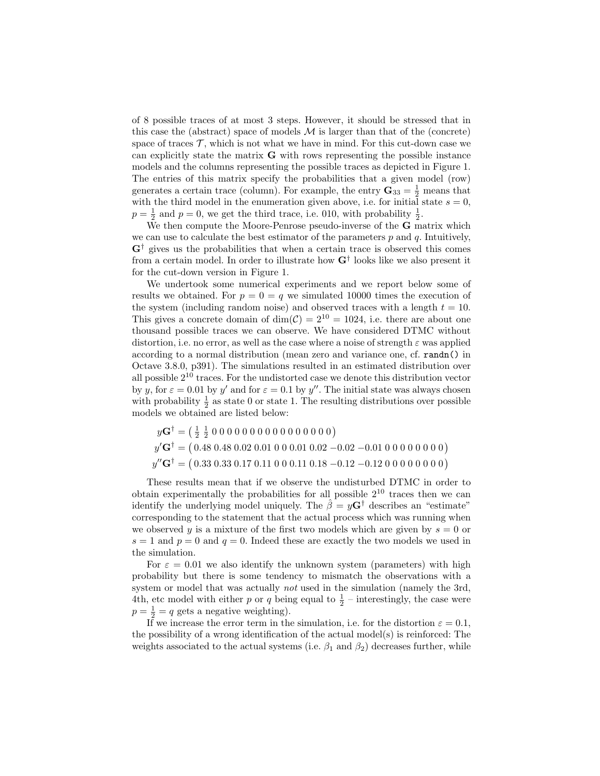of 8 possible traces of at most 3 steps. However, it should be stressed that in this case the (abstract) space of models  $\mathcal M$  is larger than that of the (concrete) space of traces  $\mathcal{T}$ , which is not what we have in mind. For this cut-down case we can explicitly state the matrix  $G$  with rows representing the possible instance models and the columns representing the possible traces as depicted in Figure 1. The entries of this matrix specify the probabilities that a given model (row) generates a certain trace (column). For example, the entry  $\mathbf{G}_{33} = \frac{1}{2}$  means that with the third model in the enumeration given above, i.e. for initial state  $s = 0$ ,  $p = \frac{1}{2}$  and  $p = 0$ , we get the third trace, i.e. 010, with probability  $\frac{1}{2}$ .

We then compute the Moore-Penrose pseudo-inverse of the G matrix which we can use to calculate the best estimator of the parameters  $p$  and  $q$ . Intuitively,  $\mathbf{G}^{\dagger}$  gives us the probabilities that when a certain trace is observed this comes from a certain model. In order to illustrate how  $G^{\dagger}$  looks like we also present it for the cut-down version in Figure 1.

We undertook some numerical experiments and we report below some of results we obtained. For  $p = 0 = q$  we simulated 10000 times the execution of the system (including random noise) and observed traces with a length  $t = 10$ . This gives a concrete domain of  $\dim(\mathcal{C}) = 2^{10} = 1024$ , i.e. there are about one thousand possible traces we can observe. We have considered DTMC without distortion, i.e. no error, as well as the case where a noise of strength  $\varepsilon$  was applied according to a normal distribution (mean zero and variance one, cf. randn() in Octave 3.8.0, p391). The simulations resulted in an estimated distribution over all possible  $2^{10}$  traces. For the undistorted case we denote this distribution vector by y, for  $\varepsilon = 0.01$  by y' and for  $\varepsilon = 0.1$  by y''. The initial state was always chosen with probability  $\frac{1}{2}$  as state 0 or state 1. The resulting distributions over possible models we obtained are listed below:

yG† = 1 2 1 2 0 0 0 0 0 0 0 0 0 0 0 0 0 0 0 0 y <sup>0</sup>G† = 0.48 0.48 0.02 0.01 0 0 0.01 0.02 −0.02 −0.01 0 0 0 0 0 0 0 0 y <sup>00</sup>G† = 0.33 0.33 0.17 0.11 0 0 0.11 0.18 −0.12 −0.12 0 0 0 0 0 0 0 0

These results mean that if we observe the undisturbed DTMC in order to obtain experimentally the probabilities for all possible  $2^{10}$  traces then we can identify the underlying model uniquely. The  $\hat{\beta} = y\mathbf{G}^{\dagger}$  describes an "estimate" corresponding to the statement that the actual process which was running when we observed y is a mixture of the first two models which are given by  $s = 0$  or  $s = 1$  and  $p = 0$  and  $q = 0$ . Indeed these are exactly the two models we used in the simulation.

For  $\varepsilon = 0.01$  we also identify the unknown system (parameters) with high probability but there is some tendency to mismatch the observations with a system or model that was actually *not* used in the simulation (namely the 3rd, 4th, etc model with either p or q being equal to  $\frac{1}{2}$  – interestingly, the case were  $p = \frac{1}{2} = q$  gets a negative weighting).

If we increase the error term in the simulation, i.e. for the distortion  $\varepsilon = 0.1$ , the possibility of a wrong identification of the actual model(s) is reinforced: The weights associated to the actual systems (i.e.  $\beta_1$  and  $\beta_2$ ) decreases further, while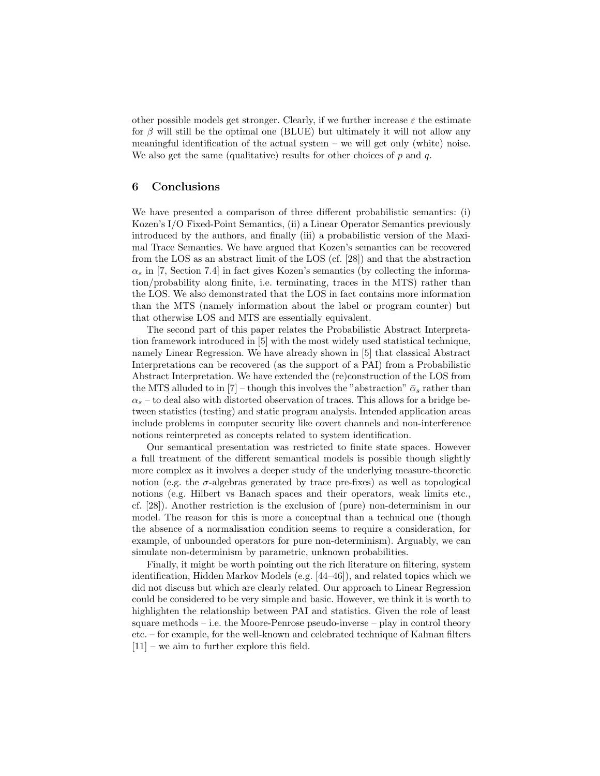other possible models get stronger. Clearly, if we further increase  $\varepsilon$  the estimate for  $\beta$  will still be the optimal one (BLUE) but ultimately it will not allow any meaningful identification of the actual system – we will get only (white) noise. We also get the same (qualitative) results for other choices of  $p$  and  $q$ .

## 6 Conclusions

We have presented a comparison of three different probabilistic semantics: (i) Kozen's I/O Fixed-Point Semantics, (ii) a Linear Operator Semantics previously introduced by the authors, and finally (iii) a probabilistic version of the Maximal Trace Semantics. We have argued that Kozen's semantics can be recovered from the LOS as an abstract limit of the LOS (cf. [28]) and that the abstraction  $\alpha_s$  in [7, Section 7.4] in fact gives Kozen's semantics (by collecting the information/probability along finite, i.e. terminating, traces in the MTS) rather than the LOS. We also demonstrated that the LOS in fact contains more information than the MTS (namely information about the label or program counter) but that otherwise LOS and MTS are essentially equivalent.

The second part of this paper relates the Probabilistic Abstract Interpretation framework introduced in [5] with the most widely used statistical technique, namely Linear Regression. We have already shown in [5] that classical Abstract Interpretations can be recovered (as the support of a PAI) from a Probabilistic Abstract Interpretation. We have extended the (re)construction of the LOS from the MTS alluded to in [7] – though this involves the "abstraction"  $\bar{\alpha}_s$  rather than  $\alpha_s$  – to deal also with distorted observation of traces. This allows for a bridge between statistics (testing) and static program analysis. Intended application areas include problems in computer security like covert channels and non-interference notions reinterpreted as concepts related to system identification.

Our semantical presentation was restricted to finite state spaces. However a full treatment of the different semantical models is possible though slightly more complex as it involves a deeper study of the underlying measure-theoretic notion (e.g. the  $\sigma$ -algebras generated by trace pre-fixes) as well as topological notions (e.g. Hilbert vs Banach spaces and their operators, weak limits etc., cf. [28]). Another restriction is the exclusion of (pure) non-determinism in our model. The reason for this is more a conceptual than a technical one (though the absence of a normalisation condition seems to require a consideration, for example, of unbounded operators for pure non-determinism). Arguably, we can simulate non-determinism by parametric, unknown probabilities.

Finally, it might be worth pointing out the rich literature on filtering, system identification, Hidden Markov Models (e.g. [44–46]), and related topics which we did not discuss but which are clearly related. Our approach to Linear Regression could be considered to be very simple and basic. However, we think it is worth to highlighten the relationship between PAI and statistics. Given the role of least square methods – i.e. the Moore-Penrose pseudo-inverse – play in control theory etc. – for example, for the well-known and celebrated technique of Kalman filters [11] – we aim to further explore this field.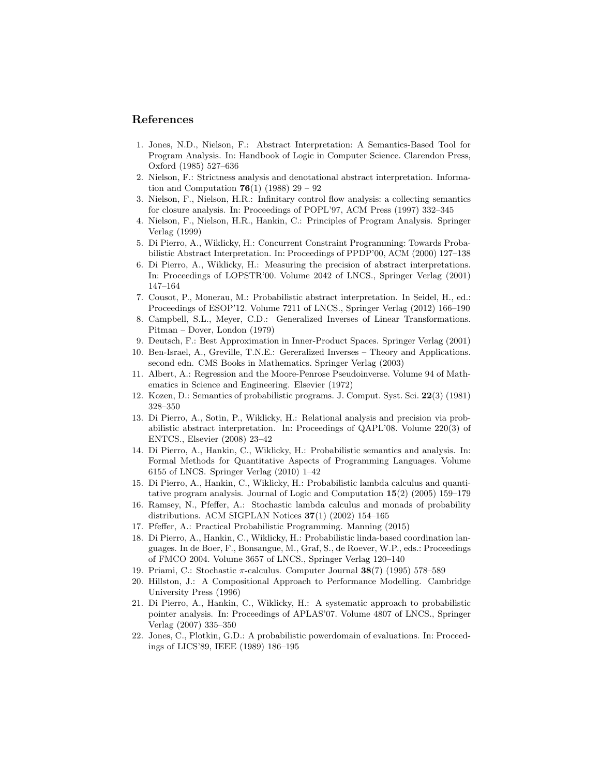### References

- 1. Jones, N.D., Nielson, F.: Abstract Interpretation: A Semantics-Based Tool for Program Analysis. In: Handbook of Logic in Computer Science. Clarendon Press, Oxford (1985) 527–636
- 2. Nielson, F.: Strictness analysis and denotational abstract interpretation. Information and Computation **76**(1) (1988) 29 – 92
- 3. Nielson, F., Nielson, H.R.: Infinitary control flow analysis: a collecting semantics for closure analysis. In: Proceedings of POPL'97, ACM Press (1997) 332–345
- 4. Nielson, F., Nielson, H.R., Hankin, C.: Principles of Program Analysis. Springer Verlag (1999)
- 5. Di Pierro, A., Wiklicky, H.: Concurrent Constraint Programming: Towards Probabilistic Abstract Interpretation. In: Proceedings of PPDP'00, ACM (2000) 127–138
- 6. Di Pierro, A., Wiklicky, H.: Measuring the precision of abstract interpretations. In: Proceedings of LOPSTR'00. Volume 2042 of LNCS., Springer Verlag (2001) 147–164
- 7. Cousot, P., Monerau, M.: Probabilistic abstract interpretation. In Seidel, H., ed.: Proceedings of ESOP'12. Volume 7211 of LNCS., Springer Verlag (2012) 166–190
- 8. Campbell, S.L., Meyer, C.D.: Generalized Inverses of Linear Transformations. Pitman – Dover, London (1979)
- 9. Deutsch, F.: Best Approximation in Inner-Product Spaces. Springer Verlag (2001)
- 10. Ben-Israel, A., Greville, T.N.E.: Gereralized Inverses Theory and Applications. second edn. CMS Books in Mathematics. Springer Verlag (2003)
- 11. Albert, A.: Regression and the Moore-Penrose Pseudoinverse. Volume 94 of Mathematics in Science and Engineering. Elsevier (1972)
- 12. Kozen, D.: Semantics of probabilistic programs. J. Comput. Syst. Sci. 22(3) (1981) 328–350
- 13. Di Pierro, A., Sotin, P., Wiklicky, H.: Relational analysis and precision via probabilistic abstract interpretation. In: Proceedings of QAPL'08. Volume 220(3) of ENTCS., Elsevier (2008) 23–42
- 14. Di Pierro, A., Hankin, C., Wiklicky, H.: Probabilistic semantics and analysis. In: Formal Methods for Quantitative Aspects of Programming Languages. Volume 6155 of LNCS. Springer Verlag (2010) 1–42
- 15. Di Pierro, A., Hankin, C., Wiklicky, H.: Probabilistic lambda calculus and quantitative program analysis. Journal of Logic and Computation 15(2) (2005) 159–179
- 16. Ramsey, N., Pfeffer, A.: Stochastic lambda calculus and monads of probability distributions. ACM SIGPLAN Notices 37(1) (2002) 154–165
- 17. Pfeffer, A.: Practical Probabilistic Programming. Manning (2015)
- 18. Di Pierro, A., Hankin, C., Wiklicky, H.: Probabilistic linda-based coordination languages. In de Boer, F., Bonsangue, M., Graf, S., de Roever, W.P., eds.: Proceedings of FMCO 2004. Volume 3657 of LNCS., Springer Verlag 120–140
- 19. Priami, C.: Stochastic  $\pi$ -calculus. Computer Journal  $38(7)$  (1995) 578–589
- 20. Hillston, J.: A Compositional Approach to Performance Modelling. Cambridge University Press (1996)
- 21. Di Pierro, A., Hankin, C., Wiklicky, H.: A systematic approach to probabilistic pointer analysis. In: Proceedings of APLAS'07. Volume 4807 of LNCS., Springer Verlag (2007) 335–350
- 22. Jones, C., Plotkin, G.D.: A probabilistic powerdomain of evaluations. In: Proceedings of LICS'89, IEEE (1989) 186–195